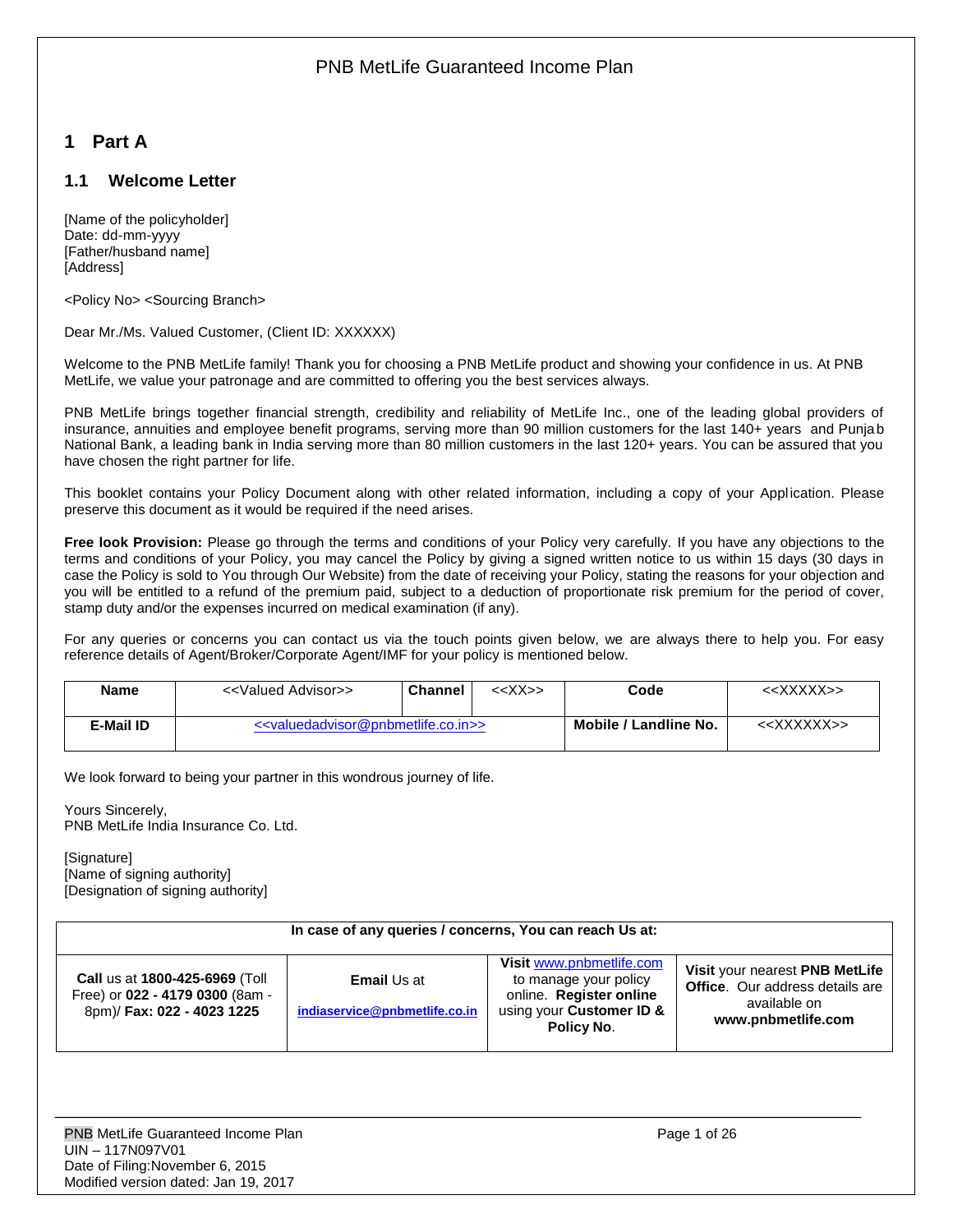# <span id="page-0-0"></span>**1 Part A**

## <span id="page-0-1"></span>**1.1 Welcome Letter**

[Name of the policyholder] Date: dd-mm-yyyy [Father/husband name] [Address]

<Policy No> <Sourcing Branch>

Dear Mr./Ms. Valued Customer, (Client ID: XXXXXX)

Welcome to the PNB MetLife family! Thank you for choosing a PNB MetLife product and showing your confidence in us. At PNB MetLife, we value your patronage and are committed to offering you the best services always.

PNB MetLife brings together financial strength, credibility and reliability of MetLife Inc., one of the leading global providers of insurance, annuities and employee benefit programs, serving more than 90 million customers for the last 140+ years and Punjab National Bank, a leading bank in India serving more than 80 million customers in the last 120+ years. You can be assured that you have chosen the right partner for life.

This booklet contains your Policy Document along with other related information, including a copy of your Application. Please preserve this document as it would be required if the need arises.

**Free look Provision:** Please go through the terms and conditions of your Policy very carefully. If you have any objections to the terms and conditions of your Policy, you may cancel the Policy by giving a signed written notice to us within 15 days (30 days in case the Policy is sold to You through Our Website) from the date of receiving your Policy, stating the reasons for your objection and you will be entitled to a refund of the premium paid, subject to a deduction of proportionate risk premium for the period of cover, stamp duty and/or the expenses incurred on medical examination (if any).

For any queries or concerns you can contact us via the touch points given below, we are always there to help you. For easy reference details of Agent/Broker/Corporate Agent/IMF for your policy is mentioned below.

| <b>Name</b> | < <valued advisor="">&gt;</valued> | <b>Channel</b>                                                          | < <xx>&gt;</xx> | Code                  | < <xxxxx>&gt;</xxxxx>   |
|-------------|------------------------------------|-------------------------------------------------------------------------|-----------------|-----------------------|-------------------------|
| E-Mail ID   |                                    | < <valuedadvisor@pnbmetlife.co.in>&gt;</valuedadvisor@pnbmetlife.co.in> |                 | Mobile / Landline No. | < <xxxxxx>&gt;</xxxxxx> |

We look forward to being your partner in this wondrous journey of life.

Yours Sincerely, PNB MetLife India Insurance Co. Ltd.

**[Signature]** [Name of signing authority] [Designation of signing authority]

| In case of any queries / concerns, You can reach Us at:                                         |                                                     |                                                                                                                               |                                                                                                                |  |  |
|-------------------------------------------------------------------------------------------------|-----------------------------------------------------|-------------------------------------------------------------------------------------------------------------------------------|----------------------------------------------------------------------------------------------------------------|--|--|
| Call us at 1800-425-6969 (Toll<br>Free) or 022 - 4179 0300 (8am -<br>8pm)/ Fax: 022 - 4023 1225 | <b>Email Us at</b><br>indiaservice@pnbmetlife.co.in | Visit www.pnbmetlife.com<br>to manage your policy<br>online. Register online<br>using your Customer ID &<br><b>Policy No.</b> | Visit your nearest PNB MetLife<br><b>Office.</b> Our address details are<br>available on<br>www.pnbmetlife.com |  |  |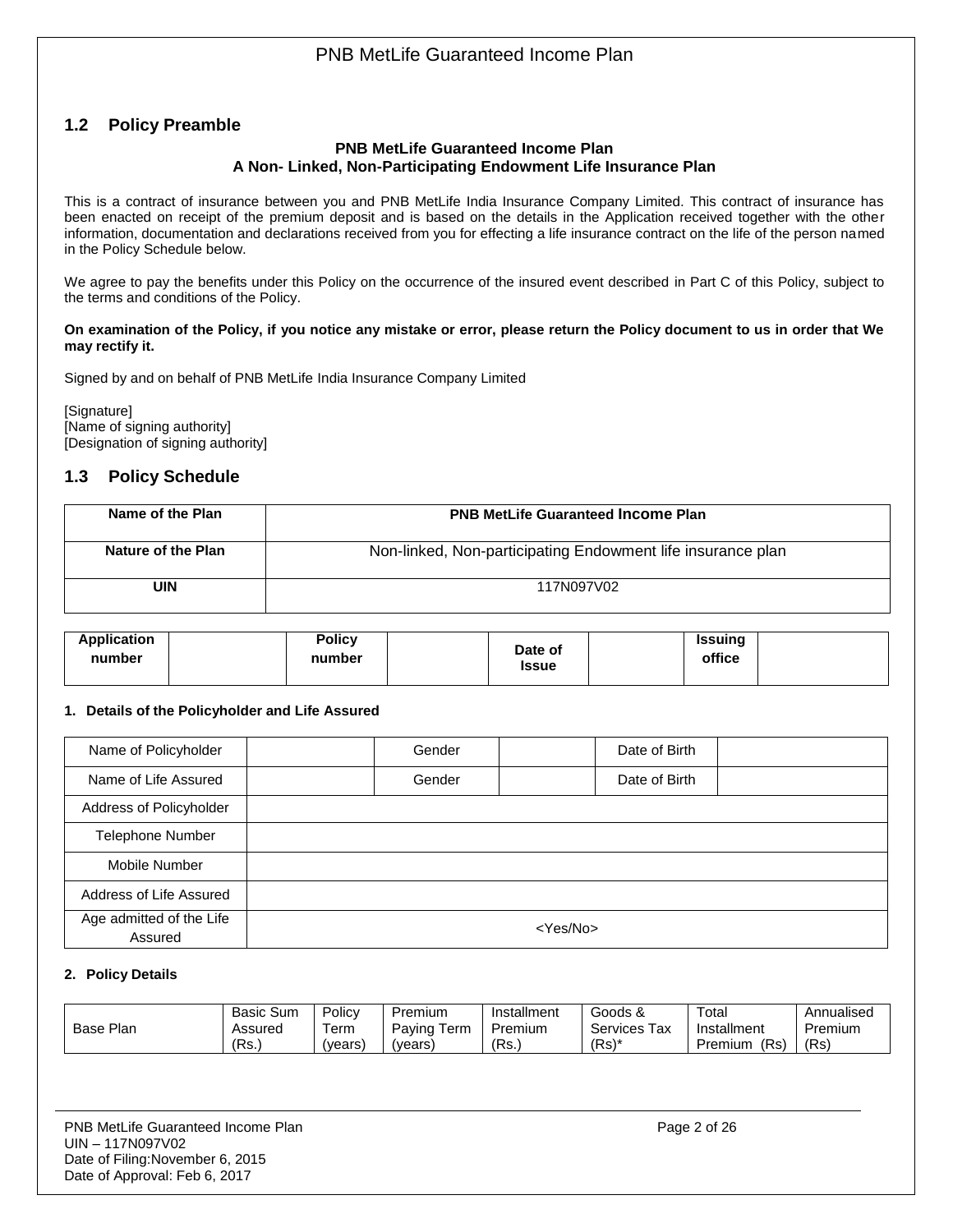## <span id="page-1-0"></span>**1.2 Policy Preamble**

#### **PNB MetLife Guaranteed Income Plan A Non- Linked, Non-Participating Endowment Life Insurance Plan**

This is a contract of insurance between you and PNB MetLife India Insurance Company Limited. This contract of insurance has been enacted on receipt of the premium deposit and is based on the details in the Application received together with the other information, documentation and declarations received from you for effecting a life insurance contract on the life of the person named in the Policy Schedule below.

We agree to pay the benefits under this Policy on the occurrence of the insured event described in Part C of this Policy, subject to the terms and conditions of the Policy.

#### **On examination of the Policy, if you notice any mistake or error, please return the Policy document to us in order that We may rectify it.**

Signed by and on behalf of PNB MetLife India Insurance Company Limited

[Signature] [Name of signing authority] [Designation of signing authority]

## <span id="page-1-1"></span>**1.3 Policy Schedule**

| Name of the Plan   | <b>PNB MetLife Guaranteed Income Plan</b>                   |
|--------------------|-------------------------------------------------------------|
| Nature of the Plan | Non-linked, Non-participating Endowment life insurance plan |
| UIN                | 117N097V02                                                  |

| Application<br><b>Policy</b><br>number<br>number | Date of<br><b>Issue</b> | <b>Issuing</b><br>office |  |
|--------------------------------------------------|-------------------------|--------------------------|--|
|--------------------------------------------------|-------------------------|--------------------------|--|

### **1. Details of the Policyholder and Life Assured**

| Name of Policyholder                | Gender         | Date of Birth |  |  |
|-------------------------------------|----------------|---------------|--|--|
| Name of Life Assured                | Gender         | Date of Birth |  |  |
| Address of Policyholder             |                |               |  |  |
| <b>Telephone Number</b>             |                |               |  |  |
| Mobile Number                       |                |               |  |  |
| Address of Life Assured             |                |               |  |  |
| Age admitted of the Life<br>Assured | $<$ Yes/No $>$ |               |  |  |

#### **2. Policy Details**

|              | <b>Basic Sum</b> | Policy | Premium                                    | Installment | Goods &             | Total          | Annualised |
|--------------|------------------|--------|--------------------------------------------|-------------|---------------------|----------------|------------|
| Plan<br>Base | Assured          | Term   | $\overline{\phantom{a}}$<br>Paying<br>Term | Premium     | -<br>Services<br>ax | Installment    | Premium    |
|              | 'Rs.             | (vears | 'vears)                                    | (Rs.        | $(Rs)^*$            | 'Rs<br>Premium | (Rs        |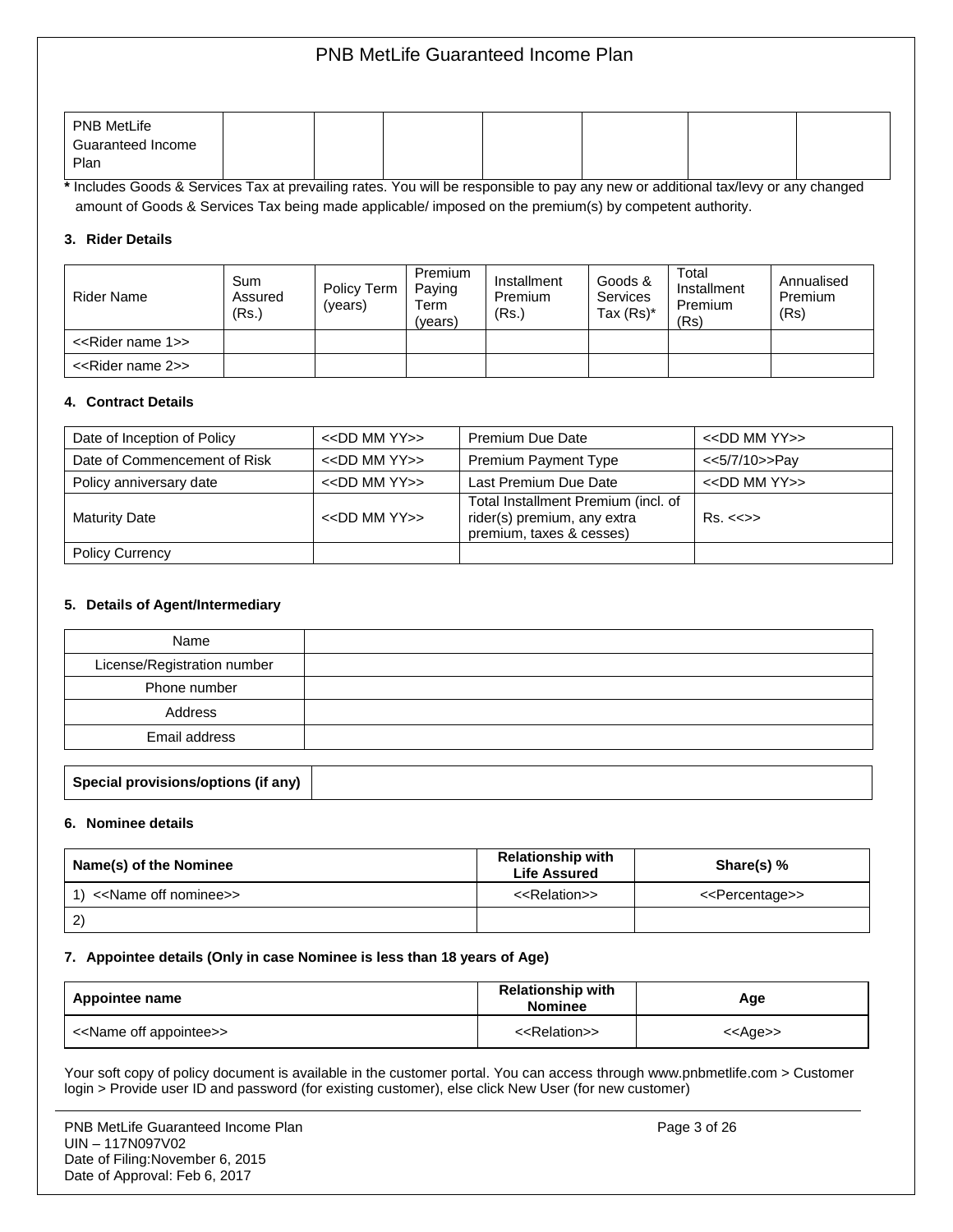| <b>PNB MetLife</b> |  |  |  |  |
|--------------------|--|--|--|--|
| Guaranteed Income  |  |  |  |  |
| Plan               |  |  |  |  |

**\*** Includes Goods & Services Tax at prevailing rates. You will be responsible to pay any new or additional tax/levy or any changed amount of Goods & Services Tax being made applicable/ imposed on the premium(s) by competent authority.

#### **3. Rider Details**

| Rider Name                         | Sum<br>Assured<br>(Rs.) | Policy Term<br>(vears) | Premium<br>Paying<br>Term<br>(vears) | Installment<br>Premium<br>(Rs.) | Goods &<br><b>Services</b><br>Tax $(Rs)^*$ | Total<br>Installment<br>Premium<br>(Rs) | Annualised<br>Premium<br>(Rs) |
|------------------------------------|-------------------------|------------------------|--------------------------------------|---------------------------------|--------------------------------------------|-----------------------------------------|-------------------------------|
| < <rider 1="" name="">&gt;</rider> |                         |                        |                                      |                                 |                                            |                                         |                               |
| < <rider 2="" name="">&gt;</rider> |                         |                        |                                      |                                 |                                            |                                         |                               |

#### **4. Contract Details**

| Date of Inception of Policy  | $<<$ DD MM YY $>>$ | Premium Due Date                                                                               | $<<$ DD MM YY $>>$      |
|------------------------------|--------------------|------------------------------------------------------------------------------------------------|-------------------------|
| Date of Commencement of Risk | $<<$ DD MM YY $>>$ | Premium Payment Type                                                                           | <<5/7/10>>Pay           |
| Policy anniversary date      | $<<$ DD MM YY $>>$ | Last Premium Due Date                                                                          | $<<$ DD MM YY $>>$      |
| <b>Maturity Date</b>         | $<<$ DD MM YY $>>$ | Total Installment Premium (incl. of<br>rider(s) premium, any extra<br>premium, taxes & cesses) | $Rs. < \Leftrightarrow$ |
| <b>Policy Currency</b>       |                    |                                                                                                |                         |

#### **5. Details of Agent/Intermediary**

| Name                        |  |
|-----------------------------|--|
| License/Registration number |  |
| Phone number                |  |
| Address                     |  |
| Email address               |  |
|                             |  |

#### **Special provisions/options (if any)**

#### **6. Nominee details**

| Name(s) of the Nominee   | <b>Relationship with</b><br><b>Life Assured</b> | Share(s) $%$                    |
|--------------------------|-------------------------------------------------|---------------------------------|
| 1) << Name off nominee>> | < <relation>&gt;</relation>                     | < <percentage>&gt;</percentage> |
| 2                        |                                                 |                                 |

#### **7. Appointee details (Only in case Nominee is less than 18 years of Age)**

| Appointee name                          | <b>Relationship with</b><br><b>Nominee</b> | Age               |
|-----------------------------------------|--------------------------------------------|-------------------|
| < <name appointee="" off="">&gt;</name> | < <relation>&gt;</relation>                | < <age>&gt;</age> |

Your soft copy of policy document is available in the customer portal. You can access through www.pnbmetlife.com > Customer login > Provide user ID and password (for existing customer), else click New User (for new customer)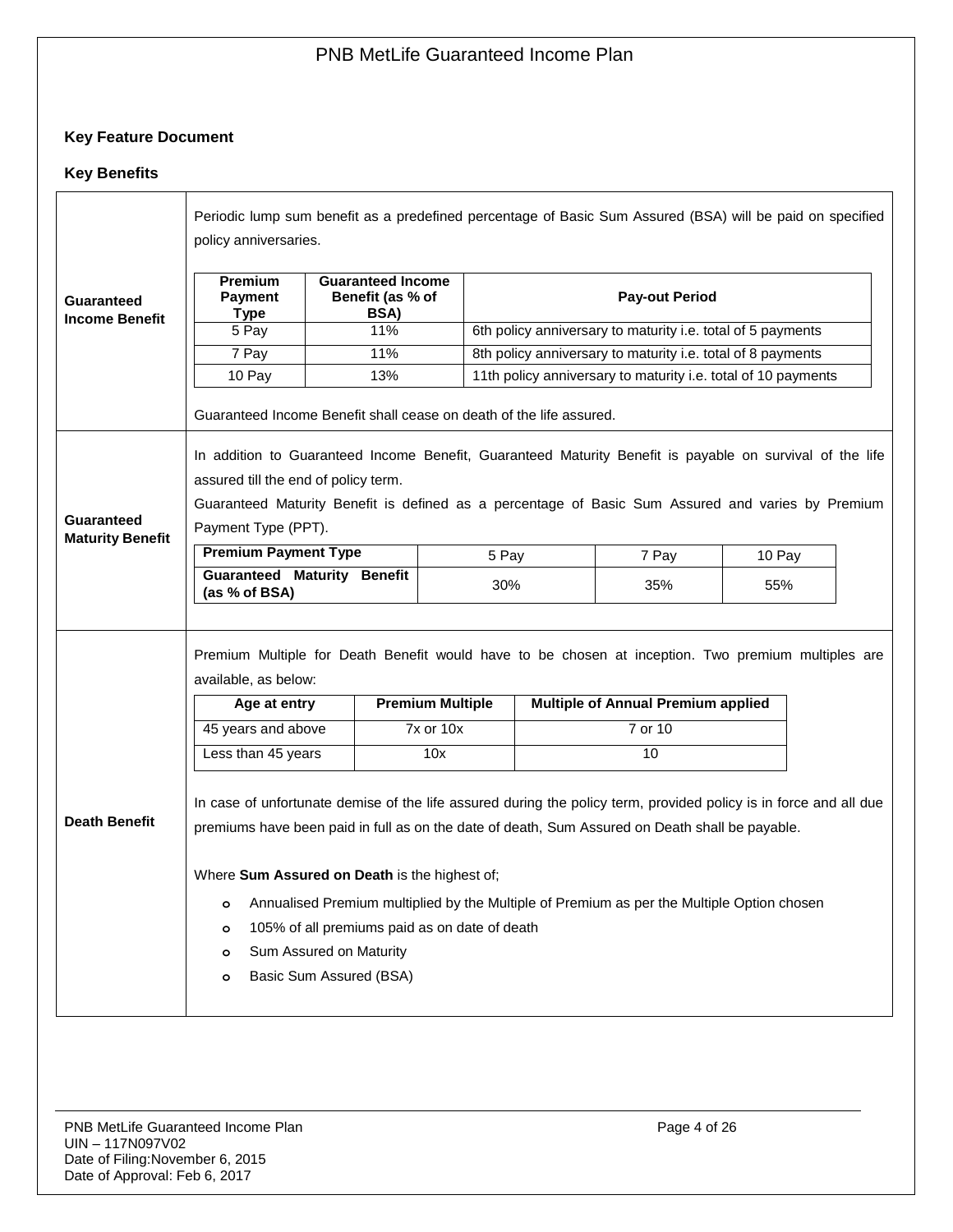## **Key Feature Document**

### **Key Benefits**

|                                            | Periodic lump sum benefit as a predefined percentage of Basic Sum Assured (BSA) will be paid on specified<br>policy anniversaries.                                                                                                                                                                                                                                                                                                                                                                                     |                                                      |               |                                                             |                                                               |        |  |
|--------------------------------------------|------------------------------------------------------------------------------------------------------------------------------------------------------------------------------------------------------------------------------------------------------------------------------------------------------------------------------------------------------------------------------------------------------------------------------------------------------------------------------------------------------------------------|------------------------------------------------------|---------------|-------------------------------------------------------------|---------------------------------------------------------------|--------|--|
| <b>Guaranteed</b><br><b>Income Benefit</b> | <b>Premium</b><br>Payment<br>Type                                                                                                                                                                                                                                                                                                                                                                                                                                                                                      | <b>Guaranteed Income</b><br>Benefit (as % of<br>BSA) |               | <b>Pay-out Period</b>                                       |                                                               |        |  |
|                                            | 5 Pay                                                                                                                                                                                                                                                                                                                                                                                                                                                                                                                  | 11%                                                  |               | 6th policy anniversary to maturity i.e. total of 5 payments |                                                               |        |  |
|                                            | 7 Pay                                                                                                                                                                                                                                                                                                                                                                                                                                                                                                                  | 11%                                                  |               | 8th policy anniversary to maturity i.e. total of 8 payments |                                                               |        |  |
|                                            | 10 Pay                                                                                                                                                                                                                                                                                                                                                                                                                                                                                                                 | 13%                                                  |               |                                                             | 11th policy anniversary to maturity i.e. total of 10 payments |        |  |
|                                            | Guaranteed Income Benefit shall cease on death of the life assured.                                                                                                                                                                                                                                                                                                                                                                                                                                                    |                                                      |               |                                                             |                                                               |        |  |
| Guaranteed<br><b>Maturity Benefit</b>      | In addition to Guaranteed Income Benefit, Guaranteed Maturity Benefit is payable on survival of the life<br>assured till the end of policy term.<br>Guaranteed Maturity Benefit is defined as a percentage of Basic Sum Assured and varies by Premium<br>Payment Type (PPT).                                                                                                                                                                                                                                           |                                                      |               |                                                             |                                                               |        |  |
|                                            | <b>Premium Payment Type</b>                                                                                                                                                                                                                                                                                                                                                                                                                                                                                            |                                                      | 5 Pay         |                                                             | 7 Pay                                                         | 10 Pay |  |
|                                            | <b>Guaranteed Maturity Benefit</b><br>(as % of BSA)                                                                                                                                                                                                                                                                                                                                                                                                                                                                    |                                                      | 30%           |                                                             | 35%                                                           | 55%    |  |
|                                            | Premium Multiple for Death Benefit would have to be chosen at inception. Two premium multiples are<br>available, as below:<br><b>Premium Multiple</b><br><b>Multiple of Annual Premium applied</b><br>Age at entry                                                                                                                                                                                                                                                                                                     |                                                      |               |                                                             |                                                               |        |  |
|                                            | 45 years and above                                                                                                                                                                                                                                                                                                                                                                                                                                                                                                     |                                                      | $7x$ or $10x$ |                                                             | 7 or 10                                                       |        |  |
|                                            | Less than 45 years                                                                                                                                                                                                                                                                                                                                                                                                                                                                                                     |                                                      | 10x           |                                                             | 10                                                            |        |  |
| <b>Death Benefit</b>                       | In case of unfortunate demise of the life assured during the policy term, provided policy is in force and all due<br>premiums have been paid in full as on the date of death, Sum Assured on Death shall be payable.<br>Where Sum Assured on Death is the highest of;<br>Annualised Premium multiplied by the Multiple of Premium as per the Multiple Option chosen<br>$\circ$<br>105% of all premiums paid as on date of death<br>$\circ$<br>Sum Assured on Maturity<br>$\circ$<br>Basic Sum Assured (BSA)<br>$\circ$ |                                                      |               |                                                             |                                                               |        |  |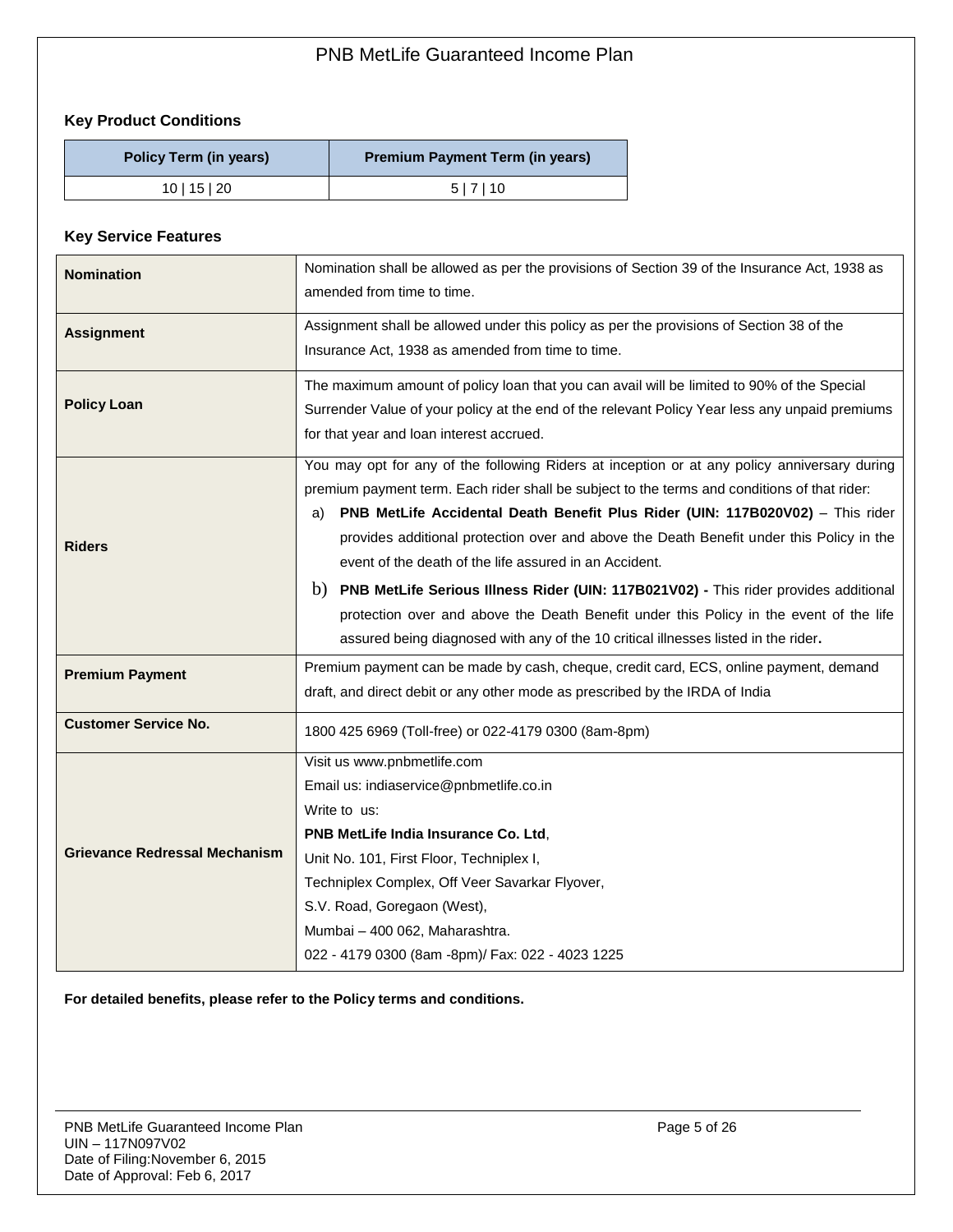## **Key Product Conditions**

| Policy Term (in years) | <b>Premium Payment Term (in years)</b> |
|------------------------|----------------------------------------|
| $10$   15   20         | 5 7 10                                 |

### **Key Service Features**

| <b>Nomination</b>                    | Nomination shall be allowed as per the provisions of Section 39 of the Insurance Act, 1938 as<br>amended from time to time.                                                                                                                                                                                                                                                                                                                                                                                                                                                                                                                                                                                           |
|--------------------------------------|-----------------------------------------------------------------------------------------------------------------------------------------------------------------------------------------------------------------------------------------------------------------------------------------------------------------------------------------------------------------------------------------------------------------------------------------------------------------------------------------------------------------------------------------------------------------------------------------------------------------------------------------------------------------------------------------------------------------------|
| <b>Assignment</b>                    | Assignment shall be allowed under this policy as per the provisions of Section 38 of the<br>Insurance Act, 1938 as amended from time to time.                                                                                                                                                                                                                                                                                                                                                                                                                                                                                                                                                                         |
| <b>Policy Loan</b>                   | The maximum amount of policy loan that you can avail will be limited to 90% of the Special<br>Surrender Value of your policy at the end of the relevant Policy Year less any unpaid premiums<br>for that year and loan interest accrued.                                                                                                                                                                                                                                                                                                                                                                                                                                                                              |
| <b>Riders</b>                        | You may opt for any of the following Riders at inception or at any policy anniversary during<br>premium payment term. Each rider shall be subject to the terms and conditions of that rider:<br>PNB MetLife Accidental Death Benefit Plus Rider (UIN: 117B020V02) - This rider<br>a)<br>provides additional protection over and above the Death Benefit under this Policy in the<br>event of the death of the life assured in an Accident.<br>b) PNB MetLife Serious Illness Rider (UIN: 117B021V02) - This rider provides additional<br>protection over and above the Death Benefit under this Policy in the event of the life<br>assured being diagnosed with any of the 10 critical illnesses listed in the rider. |
| <b>Premium Payment</b>               | Premium payment can be made by cash, cheque, credit card, ECS, online payment, demand<br>draft, and direct debit or any other mode as prescribed by the IRDA of India                                                                                                                                                                                                                                                                                                                                                                                                                                                                                                                                                 |
| <b>Customer Service No.</b>          | 1800 425 6969 (Toll-free) or 022-4179 0300 (8am-8pm)                                                                                                                                                                                                                                                                                                                                                                                                                                                                                                                                                                                                                                                                  |
| <b>Grievance Redressal Mechanism</b> | Visit us www.pnbmetlife.com<br>Email us: indiaservice@pnbmetlife.co.in<br>Write to us:<br>PNB MetLife India Insurance Co. Ltd,<br>Unit No. 101, First Floor, Techniplex I,<br>Techniplex Complex, Off Veer Savarkar Flyover,<br>S.V. Road, Goregaon (West),<br>Mumbai - 400 062, Maharashtra.<br>022 - 4179 0300 (8am -8pm)/ Fax: 022 - 4023 1225                                                                                                                                                                                                                                                                                                                                                                     |

**For detailed benefits, please refer to the Policy terms and conditions.**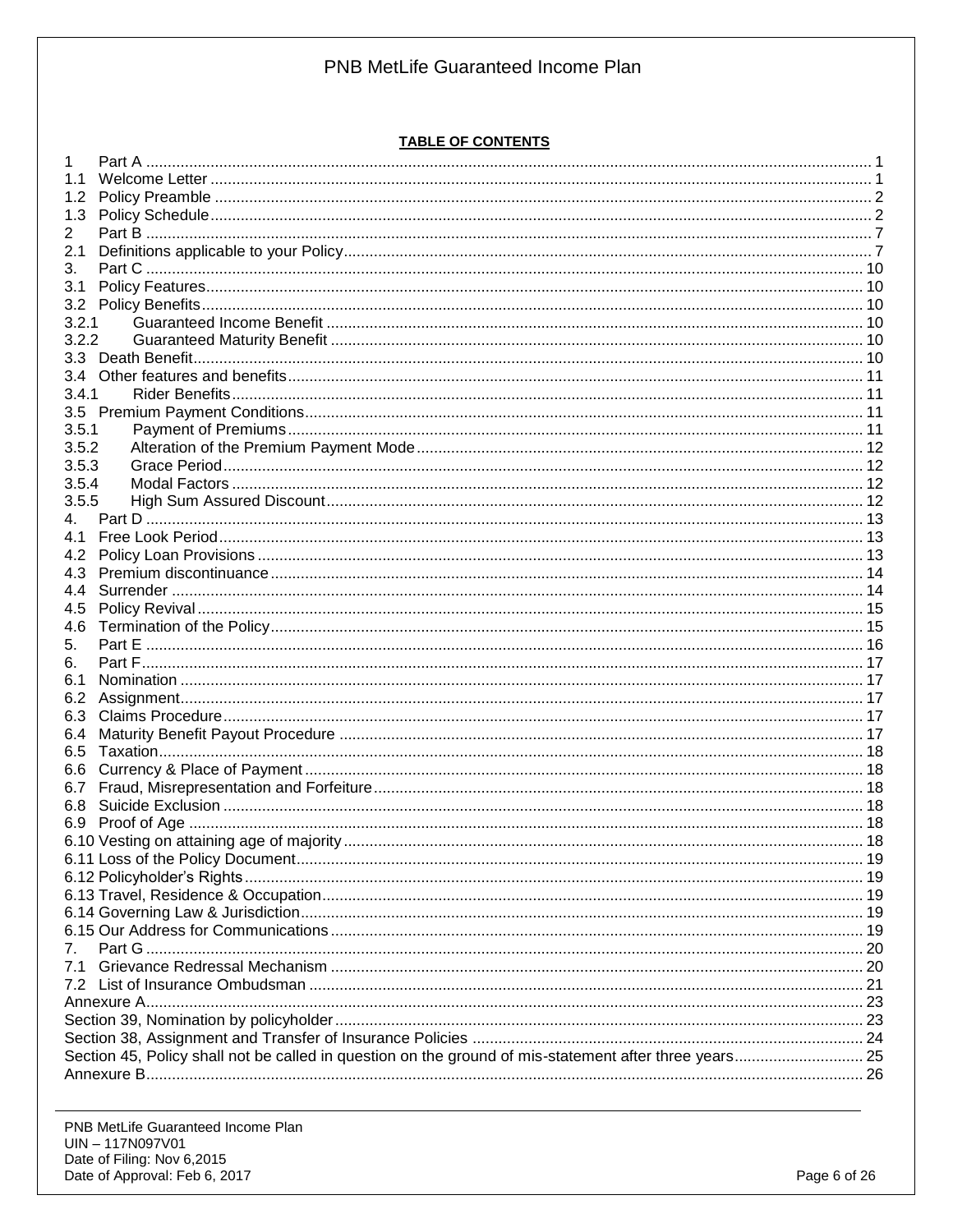#### **TABLE OF CONTENTS**

| 1.                                                                                                     |  |
|--------------------------------------------------------------------------------------------------------|--|
|                                                                                                        |  |
| 1.2                                                                                                    |  |
| 1.3                                                                                                    |  |
| 2                                                                                                      |  |
| 2.1                                                                                                    |  |
| 3.                                                                                                     |  |
| 3.1                                                                                                    |  |
| 3.2                                                                                                    |  |
| 3.2.1                                                                                                  |  |
| 3.2.2                                                                                                  |  |
| 3.3 <sub>1</sub>                                                                                       |  |
|                                                                                                        |  |
| 3.4                                                                                                    |  |
| 3.4.1                                                                                                  |  |
|                                                                                                        |  |
| 3.5.1                                                                                                  |  |
| 3.5.2                                                                                                  |  |
| 3.5.3                                                                                                  |  |
| 3.5.4                                                                                                  |  |
| 3.5.5                                                                                                  |  |
| 4.                                                                                                     |  |
| 4.1                                                                                                    |  |
| 4.2                                                                                                    |  |
| 4.3                                                                                                    |  |
| 4.4                                                                                                    |  |
| 4.5                                                                                                    |  |
| 4.6                                                                                                    |  |
| 5.                                                                                                     |  |
| 6.                                                                                                     |  |
| 6.1                                                                                                    |  |
| 6.2                                                                                                    |  |
|                                                                                                        |  |
|                                                                                                        |  |
| 6.4                                                                                                    |  |
| 6.5                                                                                                    |  |
| 6.6                                                                                                    |  |
| 6.7                                                                                                    |  |
| 6.8                                                                                                    |  |
| 6.9                                                                                                    |  |
|                                                                                                        |  |
|                                                                                                        |  |
|                                                                                                        |  |
|                                                                                                        |  |
|                                                                                                        |  |
|                                                                                                        |  |
| 7 <sub>1</sub>                                                                                         |  |
| 7.1                                                                                                    |  |
|                                                                                                        |  |
|                                                                                                        |  |
|                                                                                                        |  |
|                                                                                                        |  |
| Section 45, Policy shall not be called in question on the ground of mis-statement after three years 25 |  |
|                                                                                                        |  |
|                                                                                                        |  |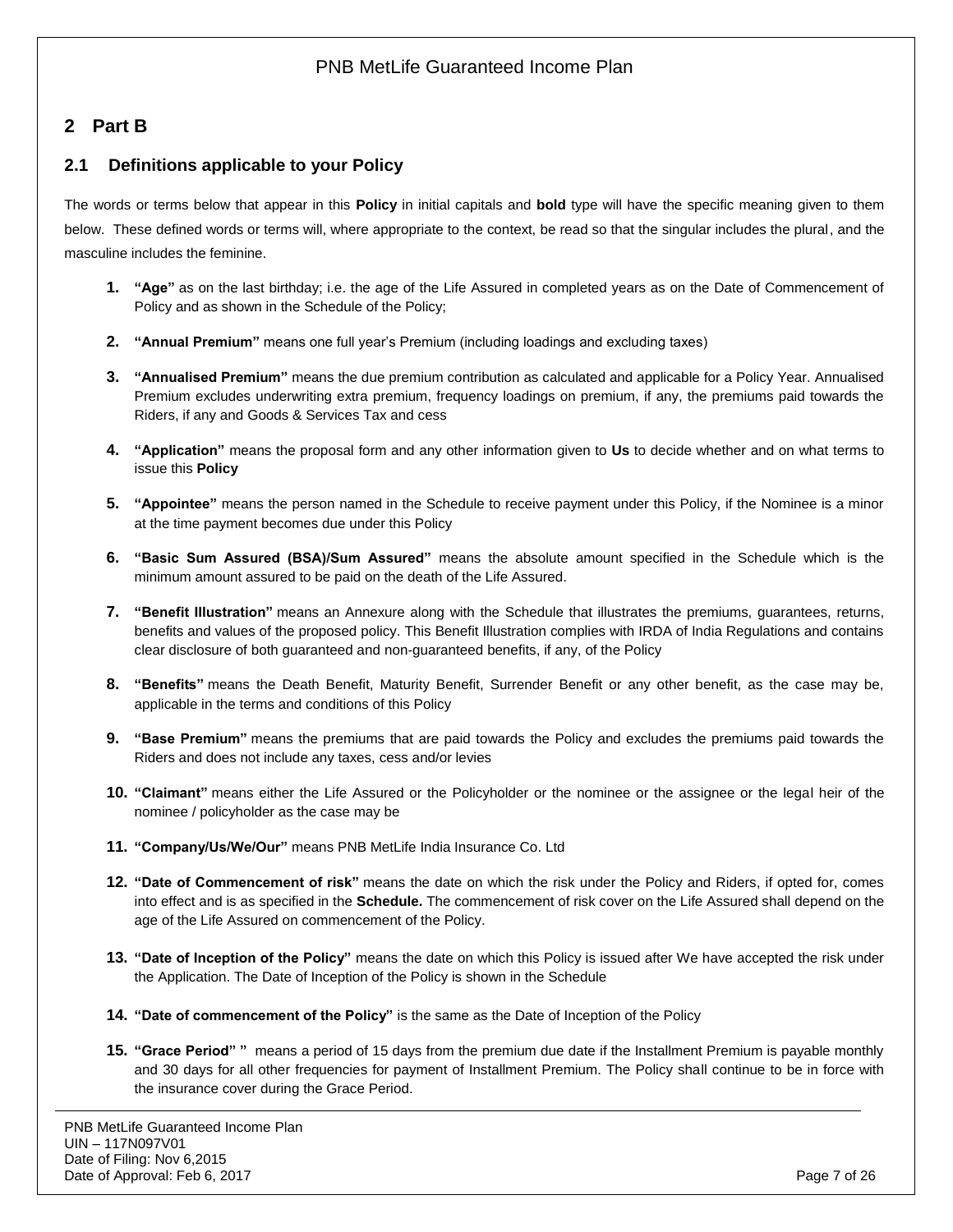# <span id="page-6-0"></span>**2 Part B**

## <span id="page-6-1"></span>**2.1 Definitions applicable to your Policy**

The words or terms below that appear in this **Policy** in initial capitals and **bold** type will have the specific meaning given to them below. These defined words or terms will, where appropriate to the context, be read so that the singular includes the plural, and the masculine includes the feminine.

- **1. "Age"** as on the last birthday; i.e. the age of the Life Assured in completed years as on the Date of Commencement of Policy and as shown in the Schedule of the Policy;
- **2. "Annual Premium"** means one full year's Premium (including loadings and excluding taxes)
- **3. "Annualised Premium"** means the due premium contribution as calculated and applicable for a Policy Year. Annualised Premium excludes underwriting extra premium, frequency loadings on premium, if any, the premiums paid towards the Riders, if any and Goods & Services Tax and cess
- **4. "Application"** means the proposal form and any other information given to **Us** to decide whether and on what terms to issue this **Policy**
- **5. "Appointee"** means the person named in the Schedule to receive payment under this Policy, if the Nominee is a minor at the time payment becomes due under this Policy
- **6. "Basic Sum Assured (BSA)/Sum Assured"** means the absolute amount specified in the Schedule which is the minimum amount assured to be paid on the death of the Life Assured.
- **7. "Benefit Illustration"** means an Annexure along with the Schedule that illustrates the premiums, guarantees, returns, benefits and values of the proposed policy. This Benefit Illustration complies with IRDA of India Regulations and contains clear disclosure of both guaranteed and non-guaranteed benefits, if any, of the Policy
- **8. "Benefits"** means the Death Benefit, Maturity Benefit, Surrender Benefit or any other benefit, as the case may be, applicable in the terms and conditions of this Policy
- **9. "Base Premium"** means the premiums that are paid towards the Policy and excludes the premiums paid towards the Riders and does not include any taxes, cess and/or levies
- **10. "Claimant"** means either the Life Assured or the Policyholder or the nominee or the assignee or the legal heir of the nominee / policyholder as the case may be
- **11. "Company/Us/We/Our"** means PNB MetLife India Insurance Co. Ltd
- **12. "Date of Commencement of risk"** means the date on which the risk under the Policy and Riders, if opted for, comes into effect and is as specified in the **Schedule.** The commencement of risk cover on the Life Assured shall depend on the age of the Life Assured on commencement of the Policy.
- **13. "Date of Inception of the Policy"** means the date on which this Policy is issued after We have accepted the risk under the Application. The Date of Inception of the Policy is shown in the Schedule
- **14. "Date of commencement of the Policy"** is the same as the Date of Inception of the Policy
- **15. "Grace Period" "** means a period of 15 days from the premium due date if the Installment Premium is payable monthly and 30 days for all other frequencies for payment of Installment Premium. The Policy shall continue to be in force with the insurance cover during the Grace Period.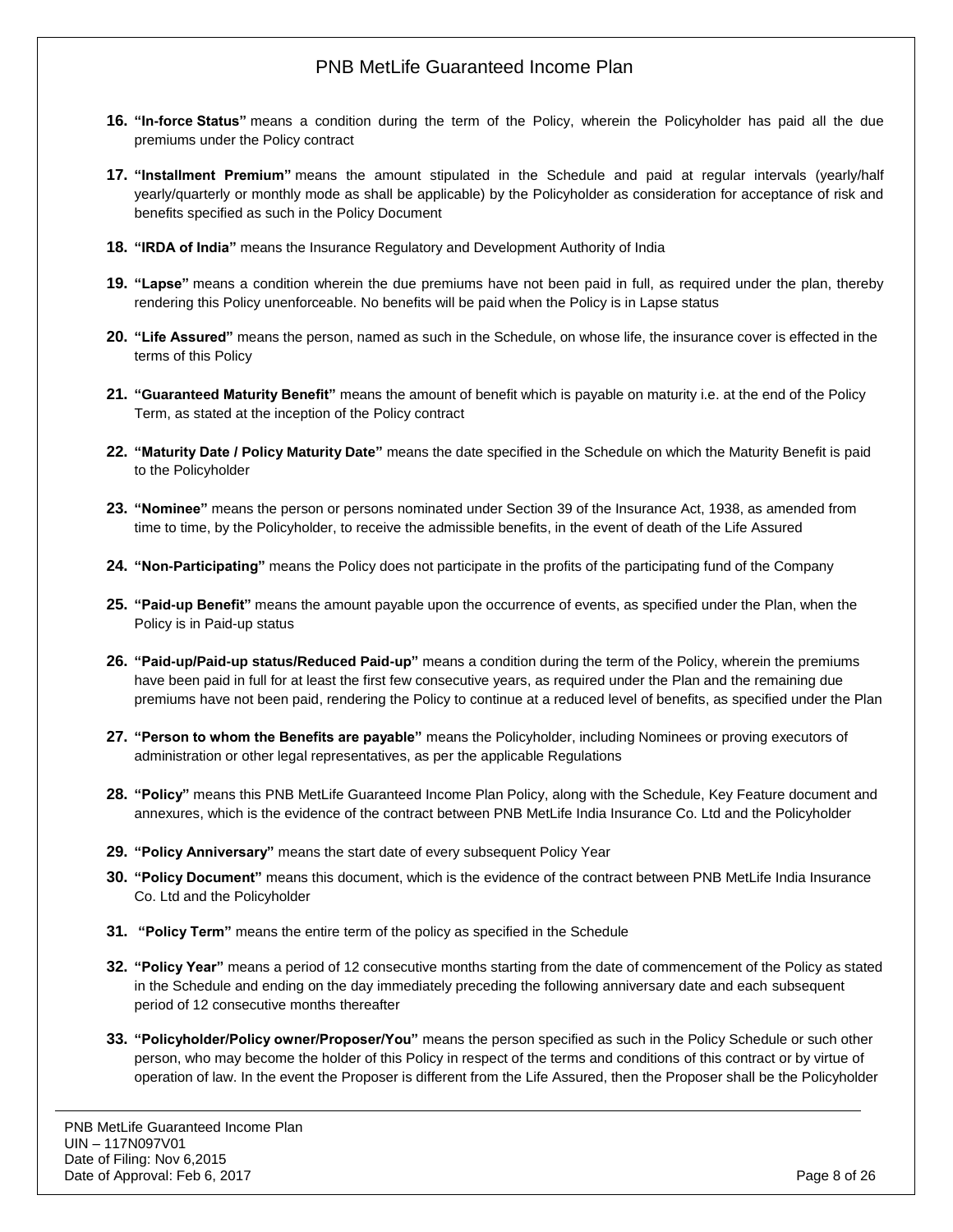- **16. "In-force Status"** means a condition during the term of the Policy, wherein the Policyholder has paid all the due premiums under the Policy contract
- **17. "Installment Premium"** means the amount stipulated in the Schedule and paid at regular intervals (yearly/half yearly/quarterly or monthly mode as shall be applicable) by the Policyholder as consideration for acceptance of risk and benefits specified as such in the Policy Document
- **18. "IRDA of India"** means the Insurance Regulatory and Development Authority of India
- **19. "Lapse"** means a condition wherein the due premiums have not been paid in full, as required under the plan, thereby rendering this Policy unenforceable. No benefits will be paid when the Policy is in Lapse status
- **20. "Life Assured"** means the person, named as such in the Schedule, on whose life, the insurance cover is effected in the terms of this Policy
- **21. "Guaranteed Maturity Benefit"** means the amount of benefit which is payable on maturity i.e. at the end of the Policy Term, as stated at the inception of the Policy contract
- **22. "Maturity Date / Policy Maturity Date"** means the date specified in the Schedule on which the Maturity Benefit is paid to the Policyholder
- **23. "Nominee"** means the person or persons nominated under Section 39 of the Insurance Act, 1938, as amended from time to time, by the Policyholder, to receive the admissible benefits, in the event of death of the Life Assured
- **24. "Non-Participating"** means the Policy does not participate in the profits of the participating fund of the Company
- **25. "Paid-up Benefit"** means the amount payable upon the occurrence of events, as specified under the Plan, when the Policy is in Paid-up status
- **26. "Paid-up/Paid-up status/Reduced Paid-up"** means a condition during the term of the Policy, wherein the premiums have been paid in full for at least the first few consecutive years, as required under the Plan and the remaining due premiums have not been paid, rendering the Policy to continue at a reduced level of benefits, as specified under the Plan
- **27. "Person to whom the Benefits are payable"** means the Policyholder, including Nominees or proving executors of administration or other legal representatives, as per the applicable Regulations
- **28. "Policy"** means this PNB MetLife Guaranteed Income Plan Policy, along with the Schedule, Key Feature document and annexures, which is the evidence of the contract between PNB MetLife India Insurance Co. Ltd and the Policyholder
- **29. "Policy Anniversary"** means the start date of every subsequent Policy Year
- **30. "Policy Document"** means this document, which is the evidence of the contract between PNB MetLife India Insurance Co. Ltd and the Policyholder
- **31. "Policy Term"** means the entire term of the policy as specified in the Schedule
- **32. "Policy Year"** means a period of 12 consecutive months starting from the date of commencement of the Policy as stated in the Schedule and ending on the day immediately preceding the following anniversary date and each subsequent period of 12 consecutive months thereafter
- **33. "Policyholder/Policy owner/Proposer/You"** means the person specified as such in the Policy Schedule or such other person, who may become the holder of this Policy in respect of the terms and conditions of this contract or by virtue of operation of law. In the event the Proposer is different from the Life Assured, then the Proposer shall be the Policyholder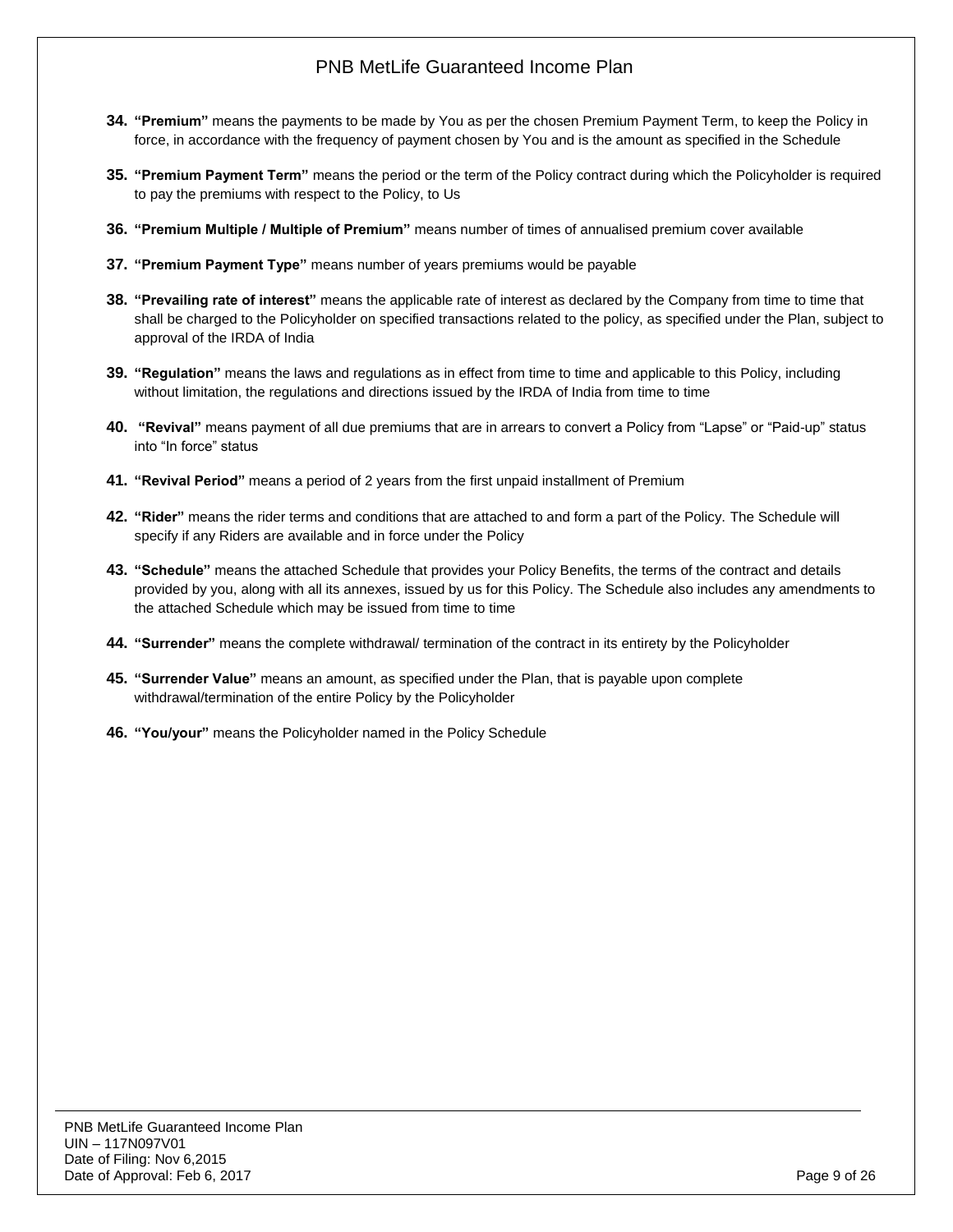- **34. "Premium"** means the payments to be made by You as per the chosen Premium Payment Term, to keep the Policy in force, in accordance with the frequency of payment chosen by You and is the amount as specified in the Schedule
- **35. "Premium Payment Term"** means the period or the term of the Policy contract during which the Policyholder is required to pay the premiums with respect to the Policy, to Us
- **36. "Premium Multiple / Multiple of Premium"** means number of times of annualised premium cover available
- **37. "Premium Payment Type"** means number of years premiums would be payable
- **38. "Prevailing rate of interest"** means the applicable rate of interest as declared by the Company from time to time that shall be charged to the Policyholder on specified transactions related to the policy, as specified under the Plan, subject to approval of the IRDA of India
- **39. "Regulation"** means the laws and regulations as in effect from time to time and applicable to this Policy, including without limitation, the regulations and directions issued by the IRDA of India from time to time
- **40. "Revival"** means payment of all due premiums that are in arrears to convert a Policy from "Lapse" or "Paid-up" status into "In force" status
- **41. "Revival Period"** means a period of 2 years from the first unpaid installment of Premium
- **42. "Rider"** means the rider terms and conditions that are attached to and form a part of the Policy. The Schedule will specify if any Riders are available and in force under the Policy
- **43. "Schedule"** means the attached Schedule that provides your Policy Benefits, the terms of the contract and details provided by you, along with all its annexes, issued by us for this Policy. The Schedule also includes any amendments to the attached Schedule which may be issued from time to time
- **44. "Surrender"** means the complete withdrawal/ termination of the contract in its entirety by the Policyholder
- **45. "Surrender Value"** means an amount, as specified under the Plan, that is payable upon complete withdrawal/termination of the entire Policy by the Policyholder
- **46. "You/your"** means the Policyholder named in the Policy Schedule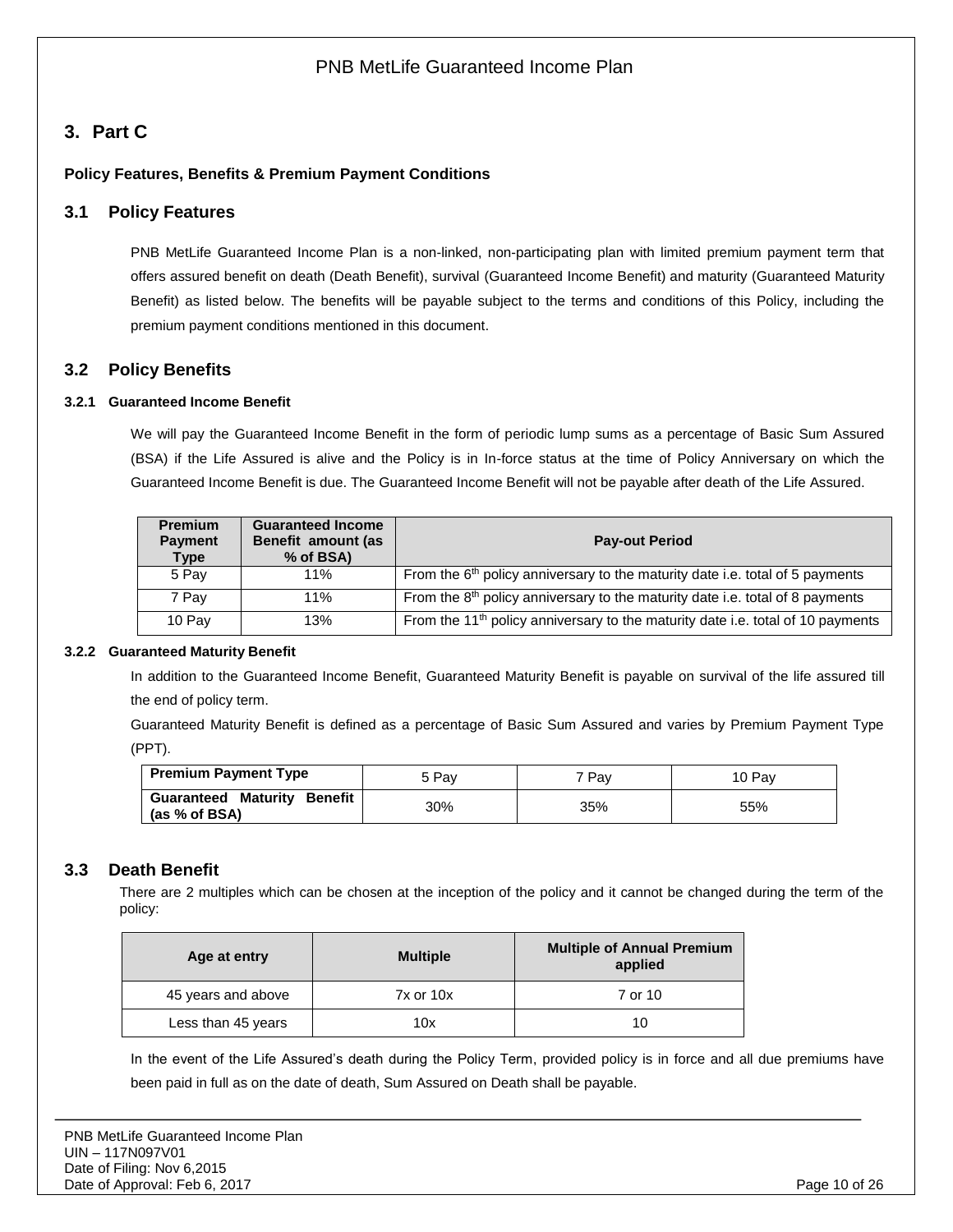# <span id="page-9-0"></span>**3. Part C**

### <span id="page-9-1"></span>**Policy Features, Benefits & Premium Payment Conditions**

### **3.1 Policy Features**

PNB MetLife Guaranteed Income Plan is a non-linked, non-participating plan with limited premium payment term that offers assured benefit on death (Death Benefit), survival (Guaranteed Income Benefit) and maturity (Guaranteed Maturity Benefit) as listed below. The benefits will be payable subject to the terms and conditions of this Policy, including the premium payment conditions mentioned in this document.

### <span id="page-9-2"></span>**3.2 Policy Benefits**

#### <span id="page-9-3"></span>**3.2.1 Guaranteed Income Benefit**

We will pay the Guaranteed Income Benefit in the form of periodic lump sums as a percentage of Basic Sum Assured (BSA) if the Life Assured is alive and the Policy is in In-force status at the time of Policy Anniversary on which the Guaranteed Income Benefit is due. The Guaranteed Income Benefit will not be payable after death of the Life Assured.

| <b>Premium</b><br><b>Payment</b><br>Type | <b>Guaranteed Income</b><br>Benefit amount (as<br>% of BSA) | <b>Pay-out Period</b>                                                                       |
|------------------------------------------|-------------------------------------------------------------|---------------------------------------------------------------------------------------------|
| 5 Pav                                    | 11%                                                         | From the 6 <sup>th</sup> policy anniversary to the maturity date i.e. total of 5 payments   |
| 7 Pay                                    | 11%                                                         | From the $8th$ policy anniversary to the maturity date i.e. total of 8 payments             |
| 10 Pay                                   | 13%                                                         | From the 11 <sup>th</sup> policy anniversary to the maturity date i.e. total of 10 payments |

#### <span id="page-9-4"></span>**3.2.2 Guaranteed Maturity Benefit**

In addition to the Guaranteed Income Benefit, Guaranteed Maturity Benefit is payable on survival of the life assured till the end of policy term.

Guaranteed Maturity Benefit is defined as a percentage of Basic Sum Assured and varies by Premium Payment Type (PPT).

| <b>Premium Payment Type</b>                         | 5 Pav | 7 Pav | 10 Pav |
|-----------------------------------------------------|-------|-------|--------|
| <b>Guaranteed Maturity Benefit</b><br>(as % of BSA) | 30%   | 35%   | 55%    |

## <span id="page-9-5"></span>**3.3 Death Benefit**

There are 2 multiples which can be chosen at the inception of the policy and it cannot be changed during the term of the policy:

| Age at entry       | <b>Multiple</b> | <b>Multiple of Annual Premium</b><br>applied |
|--------------------|-----------------|----------------------------------------------|
| 45 years and above | $7x$ or $10x$   | 7 or 10                                      |
| Less than 45 years | 10x             |                                              |

In the event of the Life Assured's death during the Policy Term, provided policy is in force and all due premiums have been paid in full as on the date of death, Sum Assured on Death shall be payable.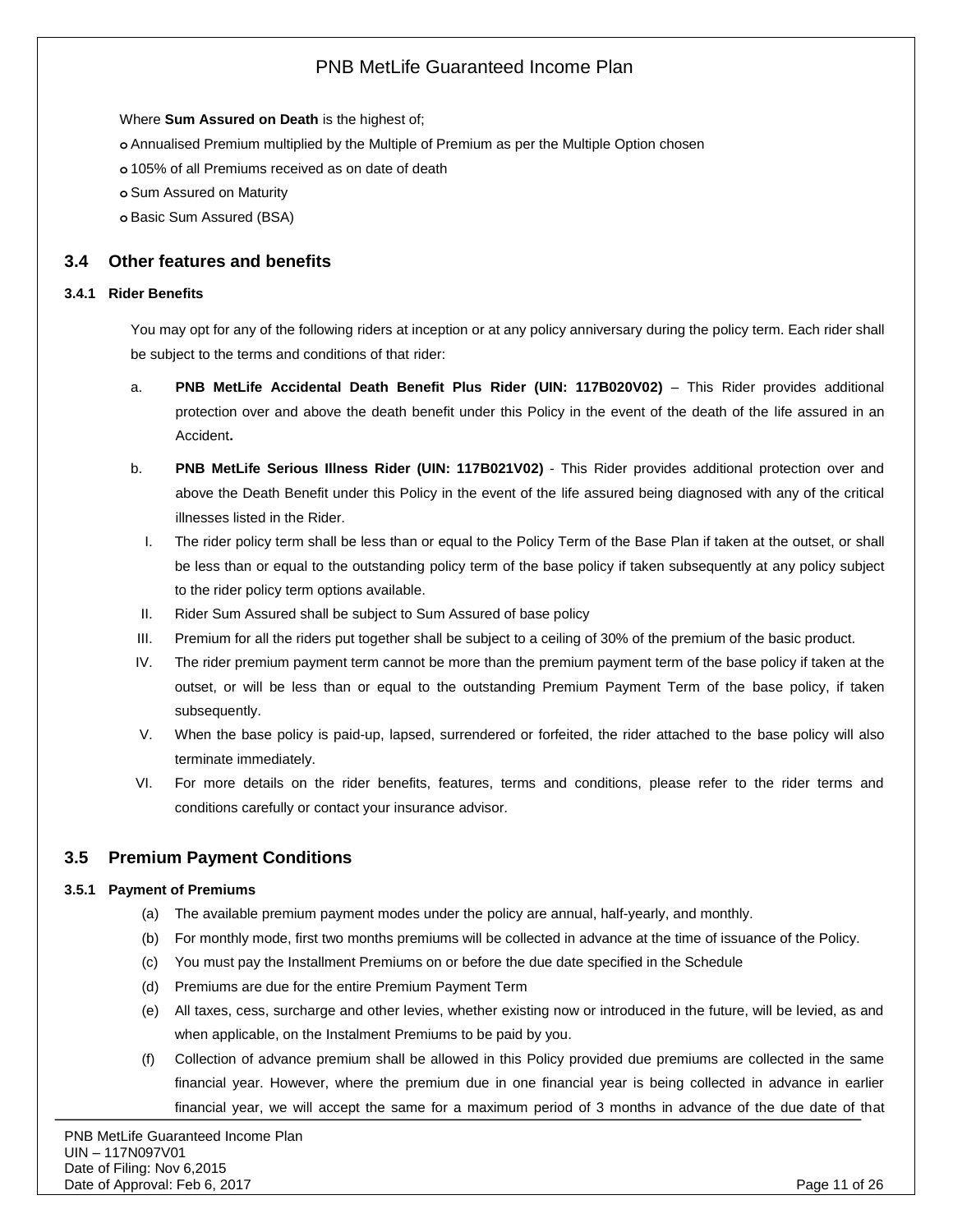Where **Sum Assured on Death** is the highest of;

**o** Annualised Premium multiplied by the Multiple of Premium as per the Multiple Option chosen

**o** 105% of all Premiums received as on date of death

**o** Sum Assured on Maturity

**o** Basic Sum Assured (BSA)

### <span id="page-10-0"></span>**3.4 Other features and benefits**

#### <span id="page-10-1"></span>**3.4.1 Rider Benefits**

You may opt for any of the following riders at inception or at any policy anniversary during the policy term. Each rider shall be subject to the terms and conditions of that rider:

- a. **PNB MetLife Accidental Death Benefit Plus Rider (UIN: 117B020V02)** This Rider provides additional protection over and above the death benefit under this Policy in the event of the death of the life assured in an Accident**.**
- b. **PNB MetLife Serious Illness Rider (UIN: 117B021V02)** This Rider provides additional protection over and above the Death Benefit under this Policy in the event of the life assured being diagnosed with any of the critical illnesses listed in the Rider.
- I. The rider policy term shall be less than or equal to the Policy Term of the Base Plan if taken at the outset, or shall be less than or equal to the outstanding policy term of the base policy if taken subsequently at any policy subject to the rider policy term options available.
- II. Rider Sum Assured shall be subject to Sum Assured of base policy
- III. Premium for all the riders put together shall be subject to a ceiling of 30% of the premium of the basic product.
- IV. The rider premium payment term cannot be more than the premium payment term of the base policy if taken at the outset, or will be less than or equal to the outstanding Premium Payment Term of the base policy, if taken subsequently.
- V. When the base policy is paid-up, lapsed, surrendered or forfeited, the rider attached to the base policy will also terminate immediately.
- VI. For more details on the rider benefits, features, terms and conditions, please refer to the rider terms and conditions carefully or contact your insurance advisor.

### <span id="page-10-2"></span>**3.5 Premium Payment Conditions**

#### <span id="page-10-3"></span>**3.5.1 Payment of Premiums**

- (a) The available premium payment modes under the policy are annual, half-yearly, and monthly.
- (b) For monthly mode, first two months premiums will be collected in advance at the time of issuance of the Policy.
- (c) You must pay the Installment Premiums on or before the due date specified in the Schedule
- (d) Premiums are due for the entire Premium Payment Term
- (e) All taxes, cess, surcharge and other levies, whether existing now or introduced in the future, will be levied, as and when applicable, on the Instalment Premiums to be paid by you.
- (f) Collection of advance premium shall be allowed in this Policy provided due premiums are collected in the same financial year. However, where the premium due in one financial year is being collected in advance in earlier financial year, we will accept the same for a maximum period of 3 months in advance of the due date of that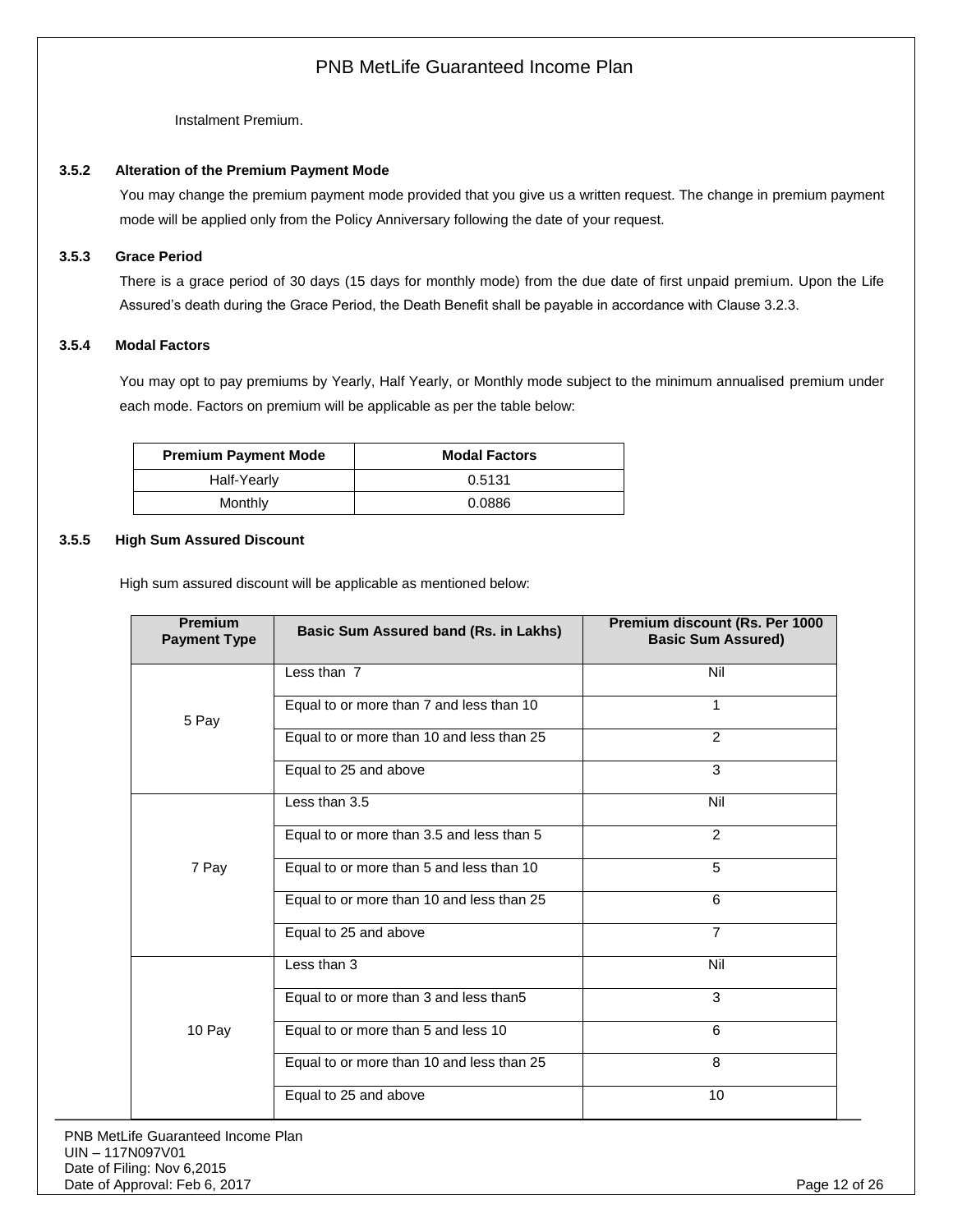Instalment Premium.

#### <span id="page-11-0"></span>**3.5.2 Alteration of the Premium Payment Mode**

You may change the premium payment mode provided that you give us a written request. The change in premium payment mode will be applied only from the Policy Anniversary following the date of your request.

#### <span id="page-11-1"></span>**3.5.3 Grace Period**

There is a grace period of 30 days (15 days for monthly mode) from the due date of first unpaid premium. Upon the Life Assured's death during the Grace Period, the Death Benefit shall be payable in accordance with Clause 3.2.3.

#### <span id="page-11-2"></span>**3.5.4 Modal Factors**

You may opt to pay premiums by Yearly, Half Yearly, or Monthly mode subject to the minimum annualised premium under each mode. Factors on premium will be applicable as per the table below:

| <b>Premium Payment Mode</b> | <b>Modal Factors</b> |
|-----------------------------|----------------------|
| Half-Yearly                 | 0.5131               |
| Monthly                     | 0.0886               |

#### <span id="page-11-3"></span>**3.5.5 High Sum Assured Discount**

High sum assured discount will be applicable as mentioned below:

| <b>Premium</b><br><b>Payment Type</b> | Basic Sum Assured band (Rs. in Lakhs)     | Premium discount (Rs. Per 1000<br><b>Basic Sum Assured)</b> |
|---------------------------------------|-------------------------------------------|-------------------------------------------------------------|
|                                       | Less than 7                               | Nil                                                         |
| 5 Pay                                 | Equal to or more than 7 and less than 10  | 1                                                           |
|                                       | Equal to or more than 10 and less than 25 | 2                                                           |
|                                       | Equal to 25 and above                     | 3                                                           |
|                                       | Less than 3.5                             | Nil                                                         |
|                                       | Equal to or more than 3.5 and less than 5 | $\mathfrak{p}$                                              |
| 7 Pay                                 | Equal to or more than 5 and less than 10  | 5                                                           |
|                                       | Equal to or more than 10 and less than 25 | 6                                                           |
|                                       | Equal to 25 and above                     | $\overline{7}$                                              |
|                                       | Less than 3                               | Nil                                                         |
|                                       | Equal to or more than 3 and less than5    | 3                                                           |
| 10 Pay                                | Equal to or more than 5 and less 10       | 6                                                           |
|                                       | Equal to or more than 10 and less than 25 | 8                                                           |
|                                       | Equal to 25 and above                     | 10                                                          |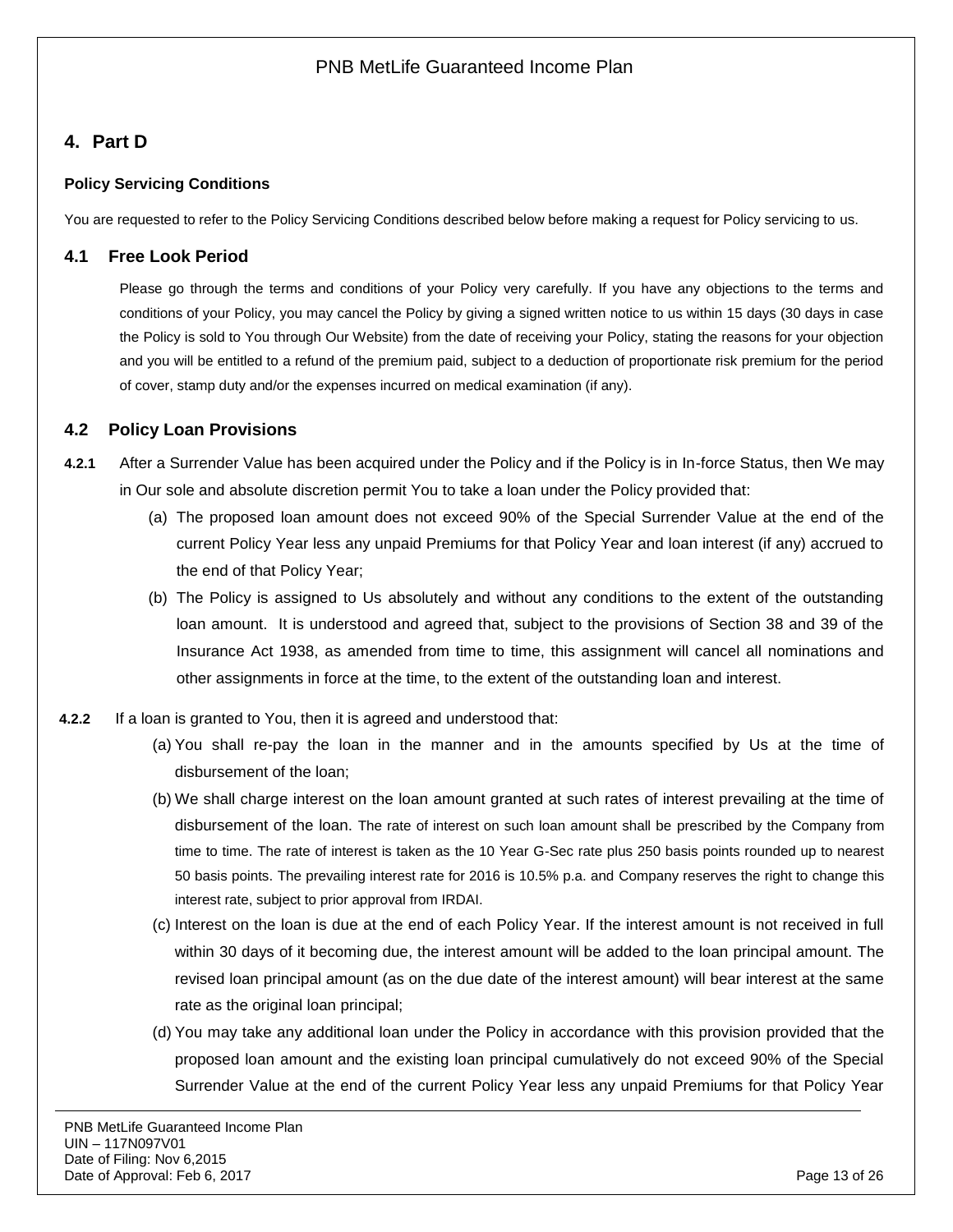# <span id="page-12-0"></span>**4. Part D**

## **Policy Servicing Conditions**

<span id="page-12-1"></span>You are requested to refer to the Policy Servicing Conditions described below before making a request for Policy servicing to us.

## **4.1 Free Look Period**

Please go through the terms and conditions of your Policy very carefully. If you have any objections to the terms and conditions of your Policy, you may cancel the Policy by giving a signed written notice to us within 15 days (30 days in case the Policy is sold to You through Our Website) from the date of receiving your Policy, stating the reasons for your objection and you will be entitled to a refund of the premium paid, subject to a deduction of proportionate risk premium for the period of cover, stamp duty and/or the expenses incurred on medical examination (if any).

## <span id="page-12-2"></span>**4.2 Policy Loan Provisions**

- **4.2.1** After a Surrender Value has been acquired under the Policy and if the Policy is in In-force Status, then We may in Our sole and absolute discretion permit You to take a loan under the Policy provided that:
	- (a) The proposed loan amount does not exceed 90% of the Special Surrender Value at the end of the current Policy Year less any unpaid Premiums for that Policy Year and loan interest (if any) accrued to the end of that Policy Year;
	- (b) The Policy is assigned to Us absolutely and without any conditions to the extent of the outstanding loan amount. It is understood and agreed that, subject to the provisions of Section 38 and 39 of the Insurance Act 1938, as amended from time to time, this assignment will cancel all nominations and other assignments in force at the time, to the extent of the outstanding loan and interest.
- **4.2.2** If a loan is granted to You, then it is agreed and understood that:
	- (a) You shall re-pay the loan in the manner and in the amounts specified by Us at the time of disbursement of the loan;
	- (b) We shall charge interest on the loan amount granted at such rates of interest prevailing at the time of disbursement of the loan. The rate of interest on such loan amount shall be prescribed by the Company from time to time. The rate of interest is taken as the 10 Year G-Sec rate plus 250 basis points rounded up to nearest 50 basis points. The prevailing interest rate for 2016 is 10.5% p.a. and Company reserves the right to change this interest rate, subject to prior approval from IRDAI.
	- (c) Interest on the loan is due at the end of each Policy Year. If the interest amount is not received in full within 30 days of it becoming due, the interest amount will be added to the loan principal amount. The revised loan principal amount (as on the due date of the interest amount) will bear interest at the same rate as the original loan principal;
	- (d) You may take any additional loan under the Policy in accordance with this provision provided that the proposed loan amount and the existing loan principal cumulatively do not exceed 90% of the Special Surrender Value at the end of the current Policy Year less any unpaid Premiums for that Policy Year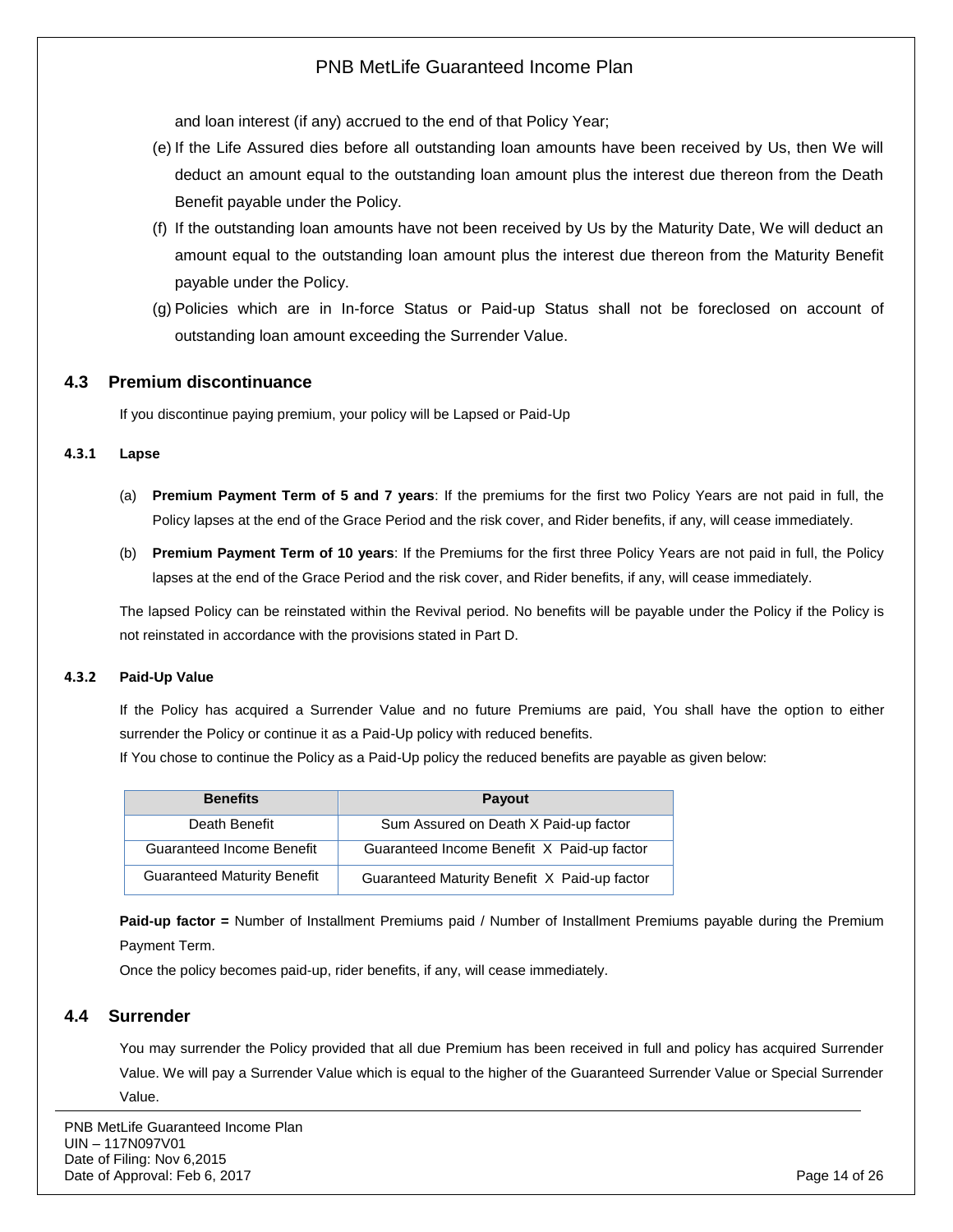and loan interest (if any) accrued to the end of that Policy Year;

- (e) If the Life Assured dies before all outstanding loan amounts have been received by Us, then We will deduct an amount equal to the outstanding loan amount plus the interest due thereon from the Death Benefit payable under the Policy.
- (f) If the outstanding loan amounts have not been received by Us by the Maturity Date, We will deduct an amount equal to the outstanding loan amount plus the interest due thereon from the Maturity Benefit payable under the Policy.
- (g) Policies which are in In-force Status or Paid-up Status shall not be foreclosed on account of outstanding loan amount exceeding the Surrender Value.

### <span id="page-13-0"></span>**4.3 Premium discontinuance**

If you discontinue paying premium, your policy will be Lapsed or Paid-Up

#### **4.3.1 Lapse**

- (a) **Premium Payment Term of 5 and 7 years**: If the premiums for the first two Policy Years are not paid in full, the Policy lapses at the end of the Grace Period and the risk cover, and Rider benefits, if any, will cease immediately.
- (b) **Premium Payment Term of 10 years**: If the Premiums for the first three Policy Years are not paid in full, the Policy lapses at the end of the Grace Period and the risk cover, and Rider benefits, if any, will cease immediately.

The lapsed Policy can be reinstated within the Revival period. No benefits will be payable under the Policy if the Policy is not reinstated in accordance with the provisions stated in Part D.

#### **4.3.2 Paid-Up Value**

If the Policy has acquired a Surrender Value and no future Premiums are paid, You shall have the option to either surrender the Policy or continue it as a Paid-Up policy with reduced benefits.

If You chose to continue the Policy as a Paid-Up policy the reduced benefits are payable as given below:

| <b>Benefits</b>                    | <b>Payout</b>                                |
|------------------------------------|----------------------------------------------|
| Death Benefit                      | Sum Assured on Death X Paid-up factor        |
| <b>Guaranteed Income Benefit</b>   | Guaranteed Income Benefit X Paid-up factor   |
| <b>Guaranteed Maturity Benefit</b> | Guaranteed Maturity Benefit X Paid-up factor |

**Paid-up factor =** Number of Installment Premiums paid / Number of Installment Premiums payable during the Premium Payment Term.

Once the policy becomes paid-up, rider benefits, if any, will cease immediately.

### <span id="page-13-1"></span>**4.4 Surrender**

You may surrender the Policy provided that all due Premium has been received in full and policy has acquired Surrender Value. We will pay a Surrender Value which is equal to the higher of the Guaranteed Surrender Value or Special Surrender Value.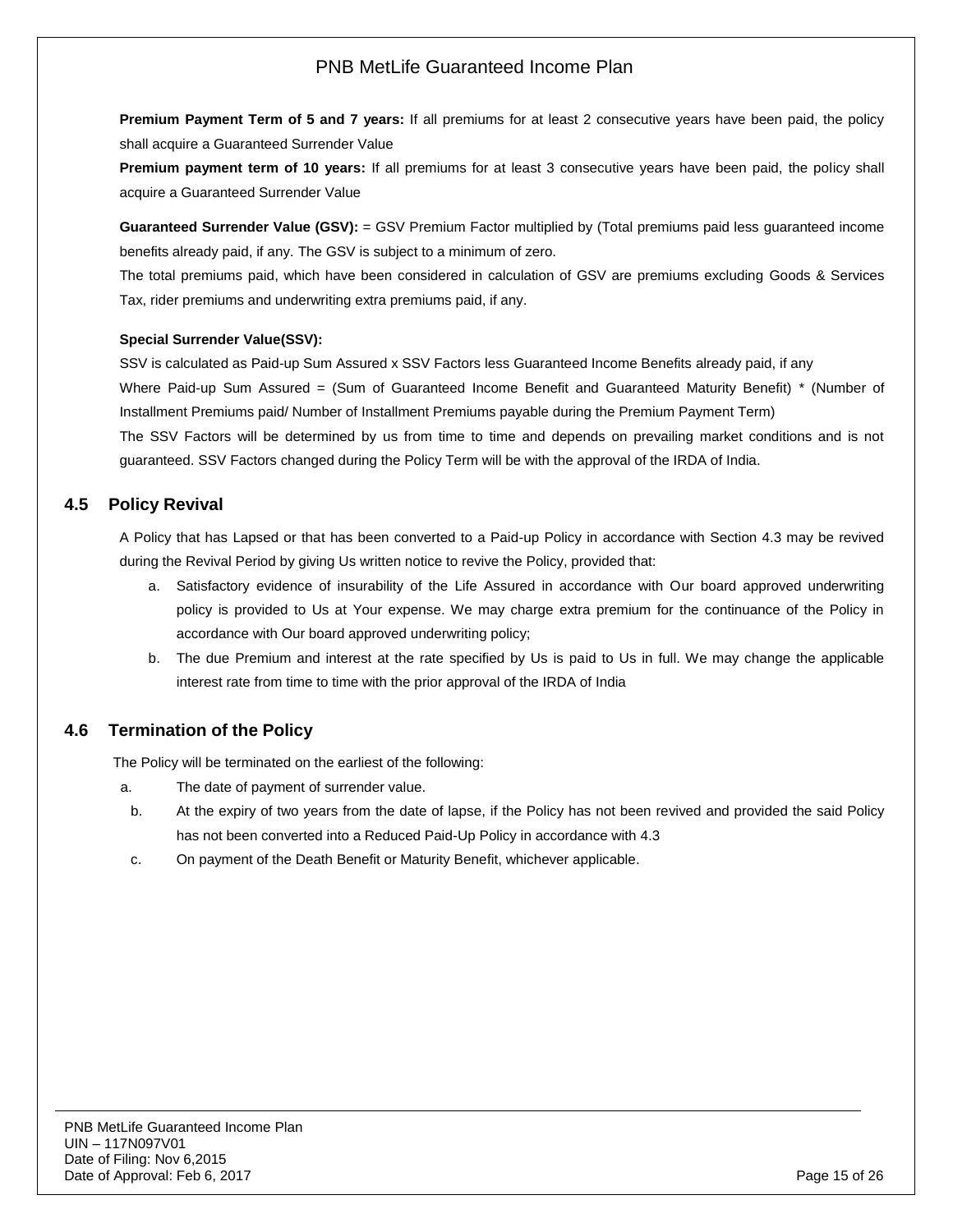**Premium Payment Term of 5 and 7 years:** If all premiums for at least 2 consecutive years have been paid, the policy shall acquire a Guaranteed Surrender Value

**Premium payment term of 10 years:** If all premiums for at least 3 consecutive years have been paid, the policy shall acquire a Guaranteed Surrender Value

**Guaranteed Surrender Value (GSV):** = GSV Premium Factor multiplied by (Total premiums paid less guaranteed income benefits already paid, if any. The GSV is subject to a minimum of zero.

The total premiums paid, which have been considered in calculation of GSV are premiums excluding Goods & Services Tax, rider premiums and underwriting extra premiums paid, if any.

#### **Special Surrender Value(SSV):**

SSV is calculated as Paid-up Sum Assured x SSV Factors less Guaranteed Income Benefits already paid, if any Where Paid-up Sum Assured = (Sum of Guaranteed Income Benefit and Guaranteed Maturity Benefit) \* (Number of Installment Premiums paid/ Number of Installment Premiums payable during the Premium Payment Term) The SSV Factors will be determined by us from time to time and depends on prevailing market conditions and is not guaranteed. SSV Factors changed during the Policy Term will be with the approval of the IRDA of India.

### <span id="page-14-0"></span>**4.5 Policy Revival**

A Policy that has Lapsed or that has been converted to a Paid-up Policy in accordance with Section 4.3 may be revived during the Revival Period by giving Us written notice to revive the Policy, provided that:

- a. Satisfactory evidence of insurability of the Life Assured in accordance with Our board approved underwriting policy is provided to Us at Your expense. We may charge extra premium for the continuance of the Policy in accordance with Our board approved underwriting policy;
- b. The due Premium and interest at the rate specified by Us is paid to Us in full. We may change the applicable interest rate from time to time with the prior approval of the IRDA of India

### <span id="page-14-1"></span>**4.6 Termination of the Policy**

The Policy will be terminated on the earliest of the following:

- a. The date of payment of surrender value.
- b. At the expiry of two years from the date of lapse, if the Policy has not been revived and provided the said Policy has not been converted into a Reduced Paid-Up Policy in accordance with 4.3
- c. On payment of the Death Benefit or Maturity Benefit, whichever applicable.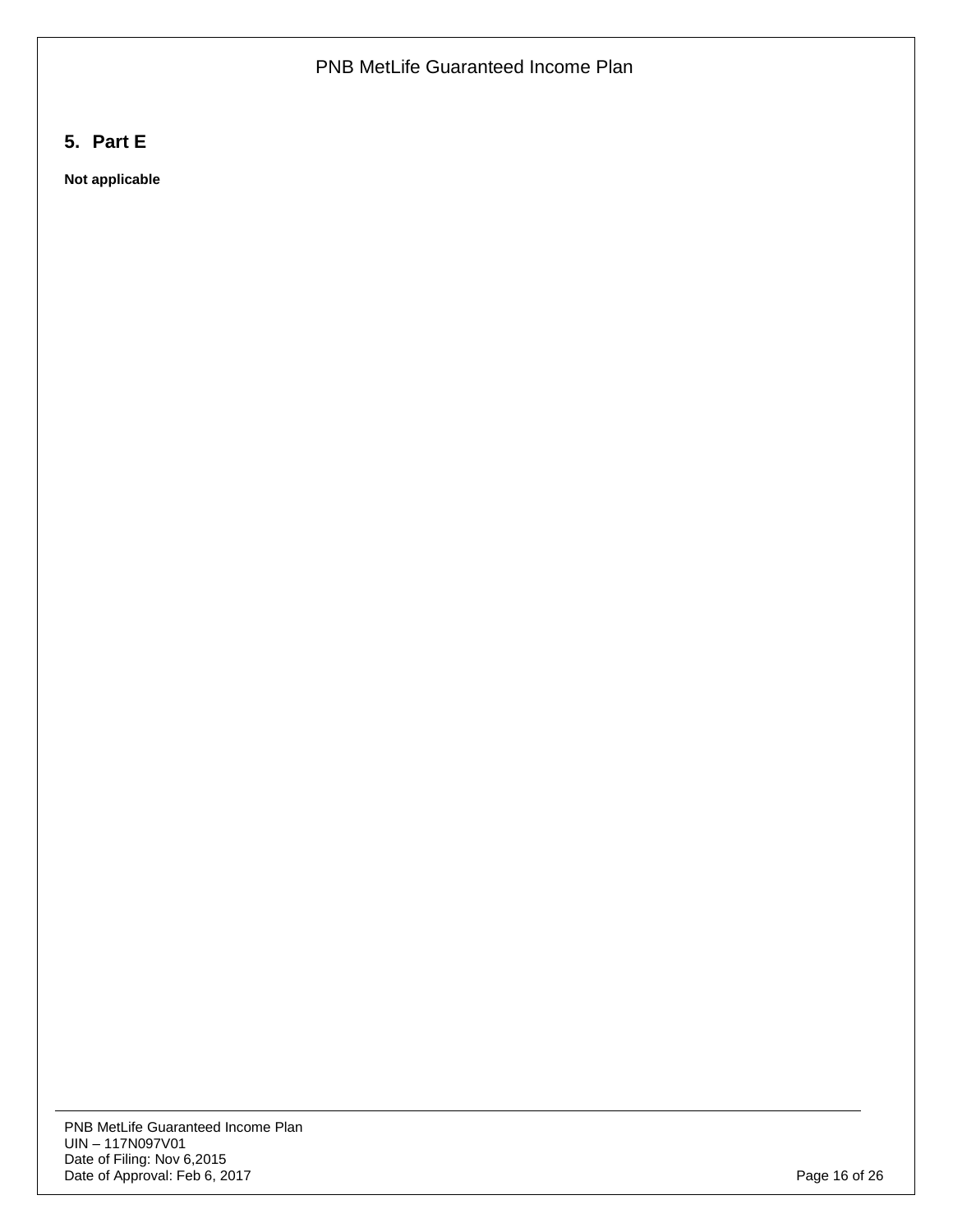# <span id="page-15-0"></span>**5. Part E**

**Not applicable**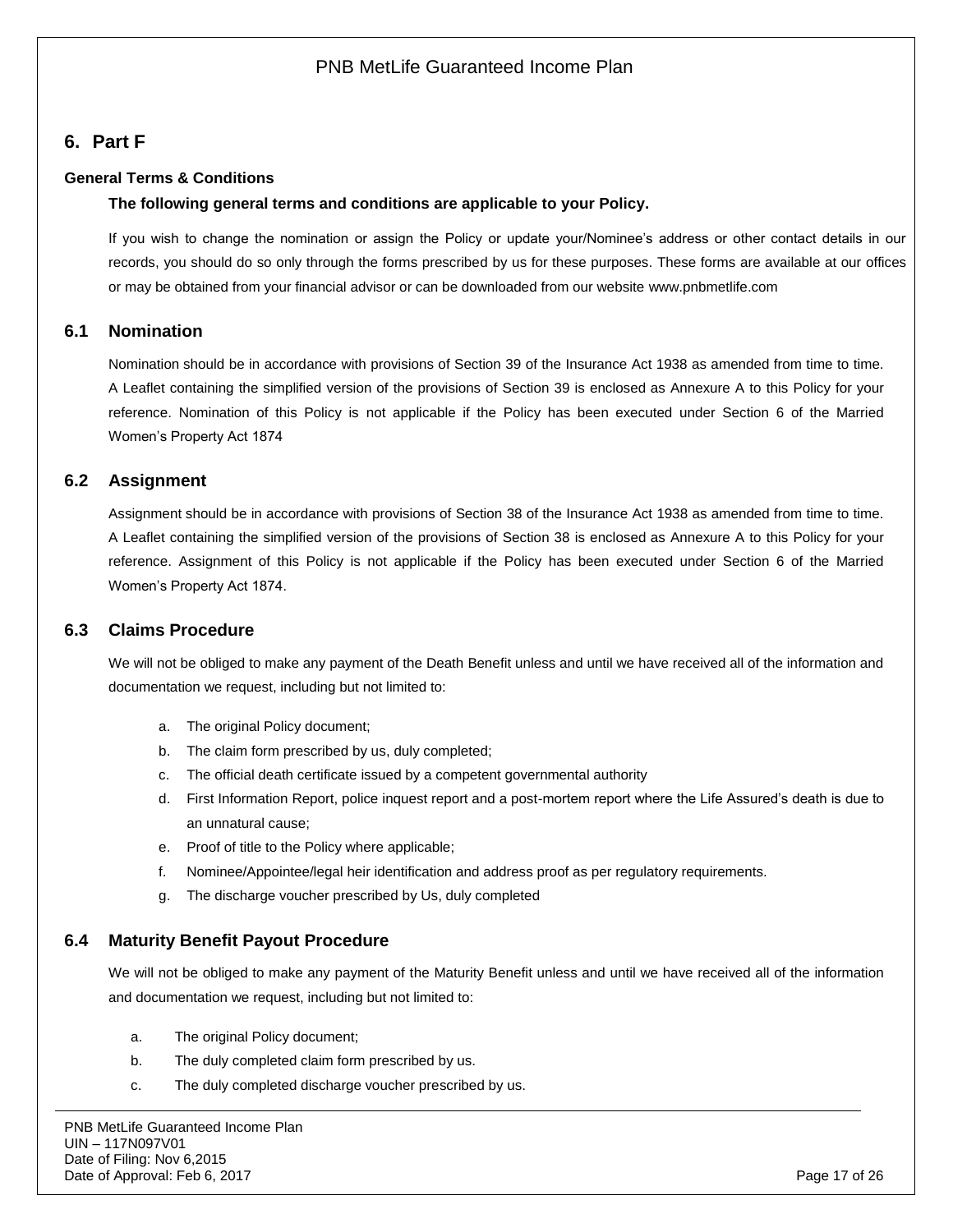# <span id="page-16-0"></span>**6. Part F**

### **General Terms & Conditions**

#### **The following general terms and conditions are applicable to your Policy.**

If you wish to change the nomination or assign the Policy or update your/Nominee's address or other contact details in our records, you should do so only through the forms prescribed by us for these purposes. These forms are available at our offices or may be obtained from your financial advisor or can be downloaded from our website [www.pnbmetlife.com](http://www.pnbmetlife.com/)

### <span id="page-16-1"></span>**6.1 Nomination**

Nomination should be in accordance with provisions of Section 39 of the Insurance Act 1938 as amended from time to time. A Leaflet containing the simplified version of the provisions of Section 39 is enclosed as Annexure A to this Policy for your reference. Nomination of this Policy is not applicable if the Policy has been executed under Section 6 of the Married Women's Property Act 1874

### <span id="page-16-2"></span>**6.2 Assignment**

Assignment should be in accordance with provisions of Section 38 of the Insurance Act 1938 as amended from time to time. A Leaflet containing the simplified version of the provisions of Section 38 is enclosed as Annexure A to this Policy for your reference. Assignment of this Policy is not applicable if the Policy has been executed under Section 6 of the Married Women's Property Act 1874.

### <span id="page-16-3"></span>**6.3 Claims Procedure**

We will not be obliged to make any payment of the Death Benefit unless and until we have received all of the information and documentation we request, including but not limited to:

- a. The original Policy document;
- b. The claim form prescribed by us, duly completed;
- c. The official death certificate issued by a competent governmental authority
- d. First Information Report, police inquest report and a post-mortem report where the Life Assured's death is due to an unnatural cause;
- e. Proof of title to the Policy where applicable;
- f. Nominee/Appointee/legal heir identification and address proof as per regulatory requirements.
- g. The discharge voucher prescribed by Us, duly completed

## <span id="page-16-4"></span>**6.4 Maturity Benefit Payout Procedure**

We will not be obliged to make any payment of the Maturity Benefit unless and until we have received all of the information and documentation we request, including but not limited to:

- a. The original Policy document;
- b. The duly completed claim form prescribed by us.
- c. The duly completed discharge voucher prescribed by us.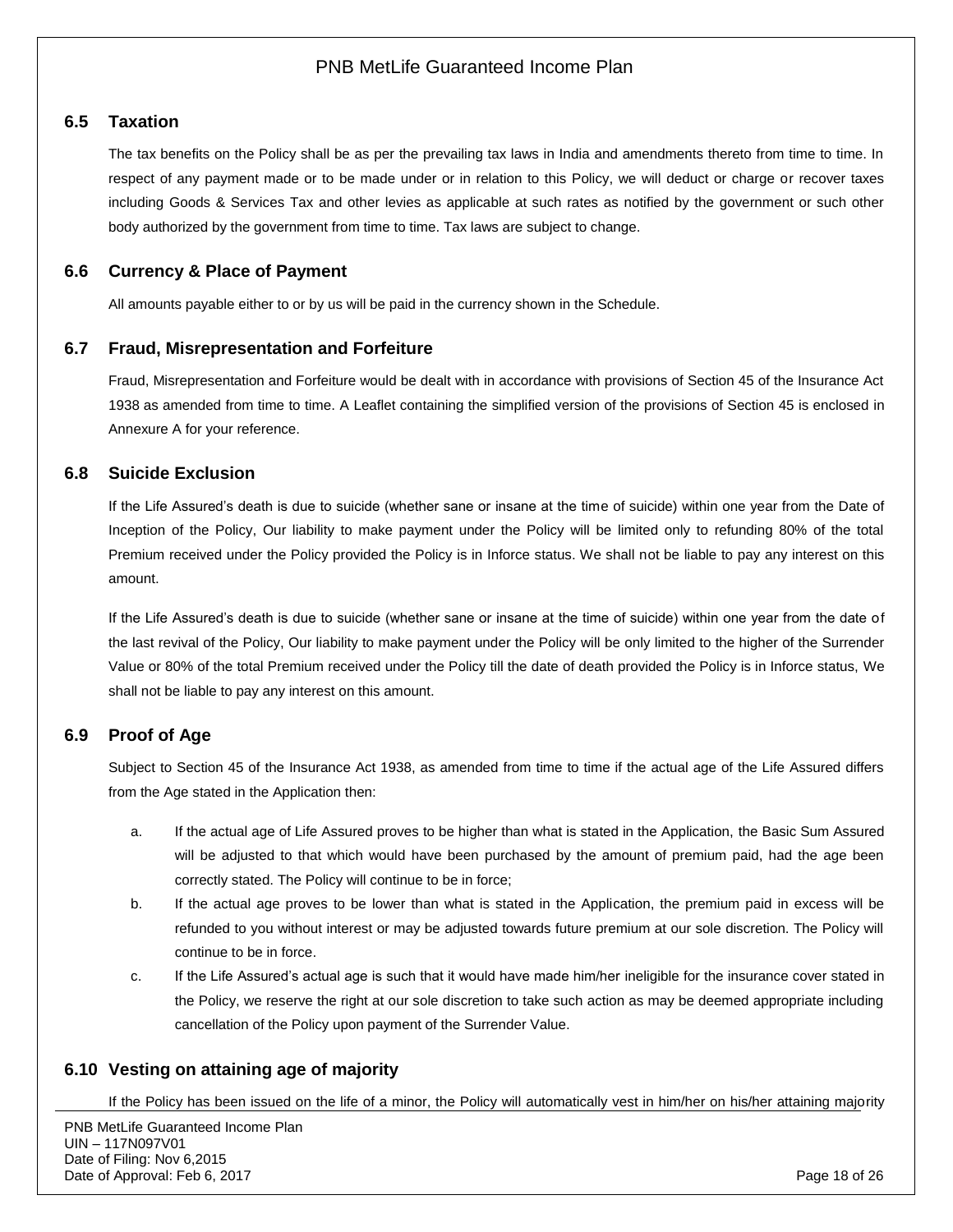### <span id="page-17-0"></span>**6.5 Taxation**

The tax benefits on the Policy shall be as per the prevailing tax laws in India and amendments thereto from time to time. In respect of any payment made or to be made under or in relation to this Policy, we will deduct or charge or recover taxes including Goods & Services Tax and other levies as applicable at such rates as notified by the government or such other body authorized by the government from time to time. Tax laws are subject to change.

## <span id="page-17-1"></span>**6.6 Currency & Place of Payment**

All amounts payable either to or by us will be paid in the currency shown in the Schedule.

#### <span id="page-17-2"></span>**6.7 Fraud, Misrepresentation and Forfeiture**

Fraud, Misrepresentation and Forfeiture would be dealt with in accordance with provisions of Section 45 of the Insurance Act 1938 as amended from time to time. A Leaflet containing the simplified version of the provisions of Section 45 is enclosed in Annexure A for your reference.

### <span id="page-17-3"></span>**6.8 Suicide Exclusion**

If the Life Assured's death is due to suicide (whether sane or insane at the time of suicide) within one year from the Date of Inception of the Policy, Our liability to make payment under the Policy will be limited only to refunding 80% of the total Premium received under the Policy provided the Policy is in Inforce status. We shall not be liable to pay any interest on this amount.

If the Life Assured's death is due to suicide (whether sane or insane at the time of suicide) within one year from the date of the last revival of the Policy, Our liability to make payment under the Policy will be only limited to the higher of the Surrender Value or 80% of the total Premium received under the Policy till the date of death provided the Policy is in Inforce status, We shall not be liable to pay any interest on this amount.

## <span id="page-17-4"></span>**6.9 Proof of Age**

Subject to Section 45 of the Insurance Act 1938, as amended from time to time if the actual age of the Life Assured differs from the Age stated in the Application then:

- a. If the actual age of Life Assured proves to be higher than what is stated in the Application, the Basic Sum Assured will be adjusted to that which would have been purchased by the amount of premium paid, had the age been correctly stated. The Policy will continue to be in force;
- b. If the actual age proves to be lower than what is stated in the Application, the premium paid in excess will be refunded to you without interest or may be adjusted towards future premium at our sole discretion. The Policy will continue to be in force.
- c. If the Life Assured's actual age is such that it would have made him/her ineligible for the insurance cover stated in the Policy, we reserve the right at our sole discretion to take such action as may be deemed appropriate including cancellation of the Policy upon payment of the Surrender Value.

## <span id="page-17-5"></span>**6.10 Vesting on attaining age of majority**

If the Policy has been issued on the life of a minor, the Policy will automatically vest in him/her on his/her attaining majority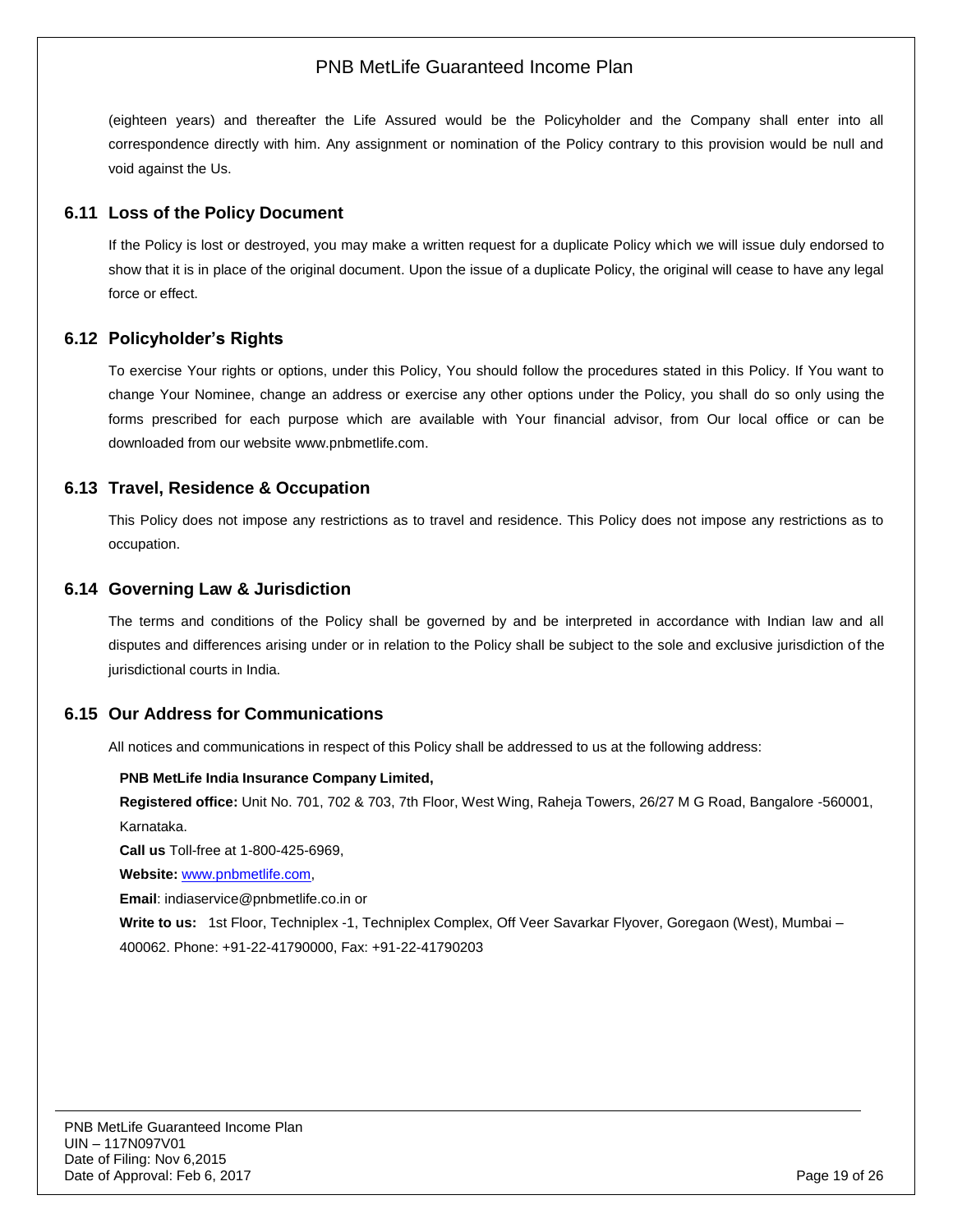(eighteen years) and thereafter the Life Assured would be the Policyholder and the Company shall enter into all correspondence directly with him. Any assignment or nomination of the Policy contrary to this provision would be null and void against the Us.

### <span id="page-18-0"></span>**6.11 Loss of the Policy Document**

If the Policy is lost or destroyed, you may make a written request for a duplicate Policy which we will issue duly endorsed to show that it is in place of the original document. Upon the issue of a duplicate Policy, the original will cease to have any legal force or effect.

## <span id="page-18-1"></span>**6.12 Policyholder's Rights**

To exercise Your rights or options, under this Policy, You should follow the procedures stated in this Policy. If You want to change Your Nominee, change an address or exercise any other options under the Policy, you shall do so only using the forms prescribed for each purpose which are available with Your financial advisor, from Our local office or can be downloaded from our website [www.pnbmetlife.com.](http://www.pnbmetlife.com/)

## <span id="page-18-2"></span>**6.13 Travel, Residence & Occupation**

This Policy does not impose any restrictions as to travel and residence. This Policy does not impose any restrictions as to occupation.

### <span id="page-18-3"></span>**6.14 Governing Law & Jurisdiction**

The terms and conditions of the Policy shall be governed by and be interpreted in accordance with Indian law and all disputes and differences arising under or in relation to the Policy shall be subject to the sole and exclusive jurisdiction of the jurisdictional courts in India.

### <span id="page-18-4"></span>**6.15 Our Address for Communications**

All notices and communications in respect of this Policy shall be addressed to us at the following address:

#### **PNB MetLife India Insurance Company Limited,**

**Registered office:** Unit No. 701, 702 & 703, 7th Floor, West Wing, Raheja Towers, 26/27 M G Road, Bangalore -560001, Karnataka.

**Call us** Toll-free at 1-800-425-6969,

**Website:** [www.pnbmetlife.com,](http://www.pnbmetlife.com/)

**Email**: indiaservice@pnbmetlife.co.in or

**Write to us:**1st Floor, Techniplex -1, Techniplex Complex, Off Veer Savarkar Flyover, Goregaon (West), Mumbai – 400062. Phone: +91-22-41790000, Fax: +91-22-41790203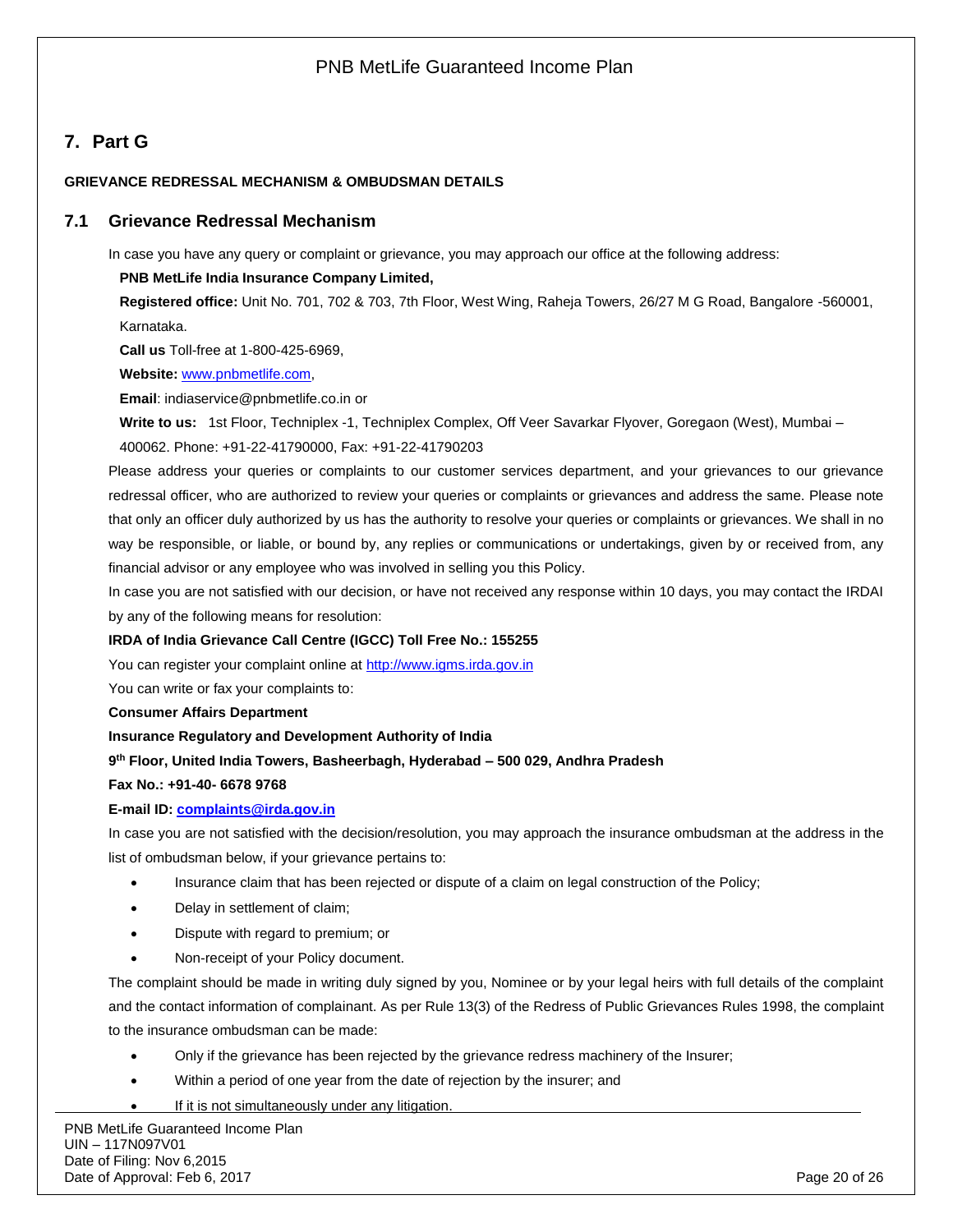# <span id="page-19-0"></span>**7. Part G**

#### **GRIEVANCE REDRESSAL MECHANISM & OMBUDSMAN DETAILS**

#### <span id="page-19-1"></span>**7.1 Grievance Redressal Mechanism**

In case you have any query or complaint or grievance, you may approach our office at the following address:

#### **PNB MetLife India Insurance Company Limited,**

**Registered office:** Unit No. 701, 702 & 703, 7th Floor, West Wing, Raheja Towers, 26/27 M G Road, Bangalore -560001, Karnataka.

**Call us** Toll-free at 1-800-425-6969,

**Website:** [www.pnbmetlife.com,](http://www.pnbmetlife.com/)

**Email**: indiaservice@pnbmetlife.co.in or

**Write to us:**1st Floor, Techniplex -1, Techniplex Complex, Off Veer Savarkar Flyover, Goregaon (West), Mumbai –

400062. Phone: +91-22-41790000, Fax: +91-22-41790203

Please address your queries or complaints to our customer services department, and your grievances to our grievance redressal officer, who are authorized to review your queries or complaints or grievances and address the same. Please note that only an officer duly authorized by us has the authority to resolve your queries or complaints or grievances. We shall in no way be responsible, or liable, or bound by, any replies or communications or undertakings, given by or received from, any financial advisor or any employee who was involved in selling you this Policy.

In case you are not satisfied with our decision, or have not received any response within 10 days, you may contact the IRDAI by any of the following means for resolution:

#### **IRDA of India Grievance Call Centre (IGCC) Toll Free No.: 155255**

You can register your complaint online at [http://www.igms.irda.gov.in](http://www.igms.irda.gov.in/)

You can write or fax your complaints to:

#### **Consumer Affairs Department**

**Insurance Regulatory and Development Authority of India**

#### **9 th Floor, United India Towers, Basheerbagh, Hyderabad – 500 029, Andhra Pradesh**

#### **Fax No.: +91-40- 6678 9768**

#### **E-mail ID: [complaints@irda.gov.in](mailto:complaints@irda.gov.in)**

In case you are not satisfied with the decision/resolution, you may approach the insurance ombudsman at the address in the list of ombudsman below, if your grievance pertains to:

- Insurance claim that has been rejected or dispute of a claim on legal construction of the Policy;
- Delay in settlement of claim;
- Dispute with regard to premium; or
- Non-receipt of your Policy document.

The complaint should be made in writing duly signed by you, Nominee or by your legal heirs with full details of the complaint and the contact information of complainant. As per Rule 13(3) of the Redress of Public Grievances Rules 1998, the complaint to the insurance ombudsman can be made:

- Only if the grievance has been rejected by the grievance redress machinery of the Insurer;
- Within a period of one year from the date of rejection by the insurer; and
- If it is not simultaneously under any litigation.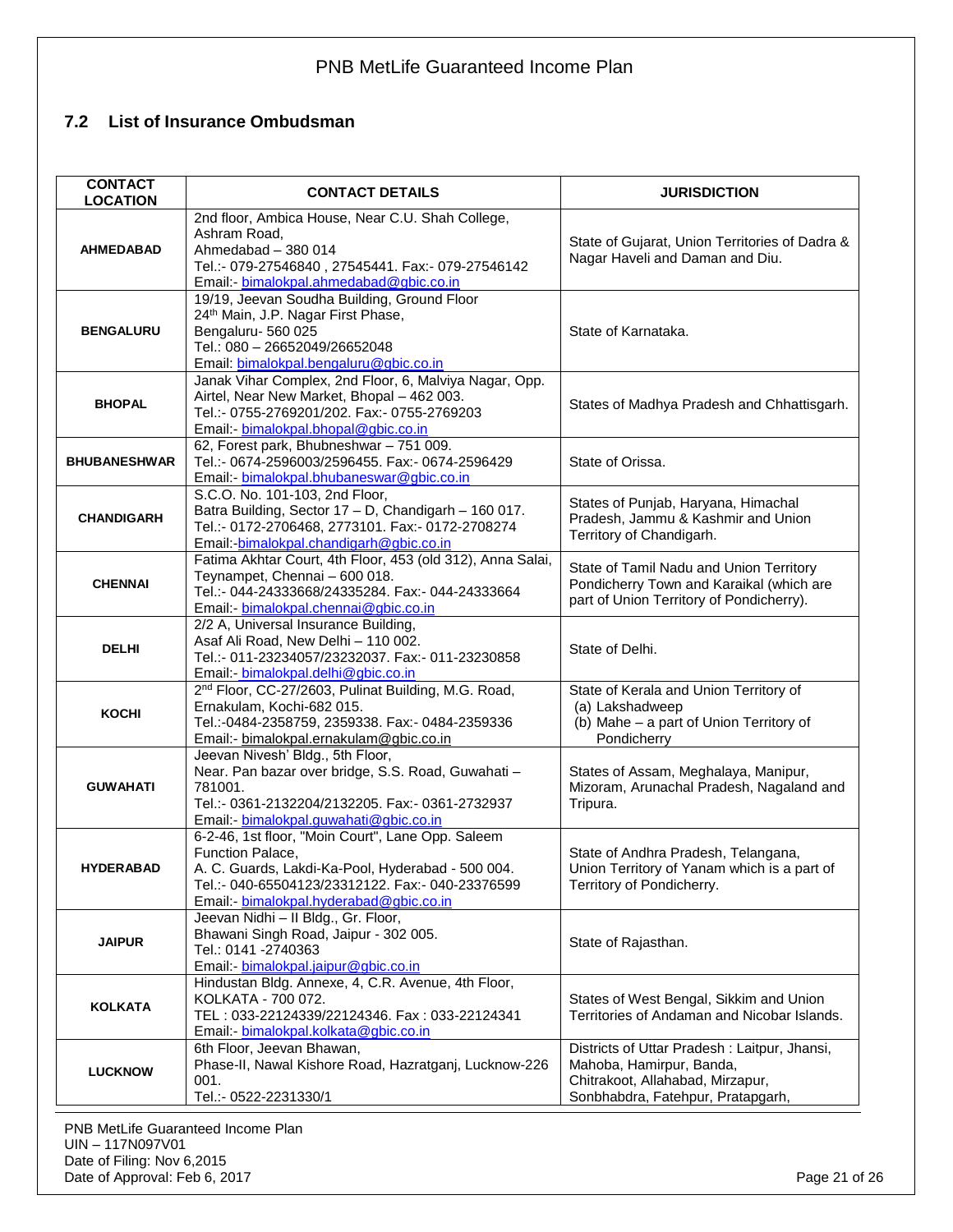## <span id="page-20-0"></span>**7.2 List of Insurance Ombudsman**

| <b>CONTACT</b><br><b>LOCATION</b> | <b>CONTACT DETAILS</b>                                                                                                                                                                                                    | <b>JURISDICTION</b>                                                                                                                               |
|-----------------------------------|---------------------------------------------------------------------------------------------------------------------------------------------------------------------------------------------------------------------------|---------------------------------------------------------------------------------------------------------------------------------------------------|
| <b>AHMEDABAD</b>                  | 2nd floor, Ambica House, Near C.U. Shah College,<br>Ashram Road,<br>Ahmedabad - 380 014<br>Tel.:- 079-27546840, 27545441. Fax:- 079-27546142<br>Email:- bimalokpal.ahmedabad@gbic.co.in                                   | State of Gujarat, Union Territories of Dadra &<br>Nagar Haveli and Daman and Diu.                                                                 |
| <b>BENGALURU</b>                  | 19/19, Jeevan Soudha Building, Ground Floor<br>24th Main, J.P. Nagar First Phase,<br>Bengaluru- 560 025<br>Tel.: 080 - 26652049/26652048<br>Email: bimalokpal.bengaluru@gbic.co.in                                        | State of Karnataka.                                                                                                                               |
| <b>BHOPAL</b>                     | Janak Vihar Complex, 2nd Floor, 6, Malviya Nagar, Opp.<br>Airtel, Near New Market, Bhopal - 462 003.<br>Tel.:- 0755-2769201/202. Fax:- 0755-2769203<br>Email:- bimalokpal.bhopal@gbic.co.in                               | States of Madhya Pradesh and Chhattisgarh.                                                                                                        |
| <b>BHUBANESHWAR</b>               | 62, Forest park, Bhubneshwar - 751 009.<br>Tel.:- 0674-2596003/2596455. Fax:- 0674-2596429<br>Email:- bimalokpal.bhubaneswar@gbic.co.in                                                                                   | State of Orissa.                                                                                                                                  |
| <b>CHANDIGARH</b>                 | S.C.O. No. 101-103, 2nd Floor,<br>Batra Building, Sector 17 - D, Chandigarh - 160 017.<br>Tel.:- 0172-2706468, 2773101. Fax:- 0172-2708274<br>Email:-bimalokpal.chandigarh@gbic.co.in                                     | States of Punjab, Haryana, Himachal<br>Pradesh, Jammu & Kashmir and Union<br>Territory of Chandigarh.                                             |
| <b>CHENNAI</b>                    | Fatima Akhtar Court, 4th Floor, 453 (old 312), Anna Salai,<br>Teynampet, Chennai - 600 018.<br>Tel.:- 044-24333668/24335284. Fax:- 044-24333664<br>Email: bimalokpal.chennai@gbic.co.in                                   | State of Tamil Nadu and Union Territory<br>Pondicherry Town and Karaikal (which are<br>part of Union Territory of Pondicherry).                   |
| <b>DELHI</b>                      | 2/2 A, Universal Insurance Building,<br>Asaf Ali Road, New Delhi - 110 002.<br>Tel.:- 011-23234057/23232037. Fax:- 011-23230858<br>Email: bimalokpal.delhi@gbic.co.in                                                     | State of Delhi.                                                                                                                                   |
| <b>KOCHI</b>                      | 2 <sup>nd</sup> Floor, CC-27/2603, Pulinat Building, M.G. Road,<br>Ernakulam, Kochi-682 015.<br>Tel.:-0484-2358759, 2359338. Fax:- 0484-2359336<br>Email:- bimalokpal.ernakulam@gbic.co.in                                | State of Kerala and Union Territory of<br>(a) Lakshadweep<br>(b) Mahe - a part of Union Territory of<br>Pondicherry                               |
| <b>GUWAHATI</b>                   | Jeevan Nivesh' Bldg., 5th Floor,<br>Near. Pan bazar over bridge, S.S. Road, Guwahati -<br>781001.<br>Tel.:- 0361-2132204/2132205. Fax:- 0361-2732937<br>Email:- bimalokpal.guwahati@gbic.co.in                            | States of Assam, Meghalaya, Manipur,<br>Mizoram, Arunachal Pradesh, Nagaland and<br>Tripura.                                                      |
| <b>HYDERABAD</b>                  | 6-2-46, 1st floor, "Moin Court", Lane Opp. Saleem<br>Function Palace,<br>A. C. Guards, Lakdi-Ka-Pool, Hyderabad - 500 004.<br>Tel.:- 040-65504123/23312122. Fax:- 040-23376599<br>Email:- bimalokpal.hyderabad@gbic.co.in | State of Andhra Pradesh, Telangana,<br>Union Territory of Yanam which is a part of<br>Territory of Pondicherry.                                   |
| <b>JAIPUR</b>                     | Jeevan Nidhi - Il Bldg., Gr. Floor,<br>Bhawani Singh Road, Jaipur - 302 005.<br>Tel.: 0141 -2740363<br>Email - bimalokpal.jaipur@gbic.co.in                                                                               | State of Rajasthan.                                                                                                                               |
| <b>KOLKATA</b>                    | Hindustan Bldg. Annexe, 4, C.R. Avenue, 4th Floor,<br>KOLKATA - 700 072.<br>TEL: 033-22124339/22124346. Fax: 033-22124341<br>Email:- bimalokpal.kolkata@gbic.co.in                                                        | States of West Bengal, Sikkim and Union<br>Territories of Andaman and Nicobar Islands.                                                            |
| <b>LUCKNOW</b>                    | 6th Floor, Jeevan Bhawan,<br>Phase-II, Nawal Kishore Road, Hazratganj, Lucknow-226<br>001.<br>Tel.:- 0522-2231330/1                                                                                                       | Districts of Uttar Pradesh: Laitpur, Jhansi,<br>Mahoba, Hamirpur, Banda,<br>Chitrakoot, Allahabad, Mirzapur,<br>Sonbhabdra, Fatehpur, Pratapgarh, |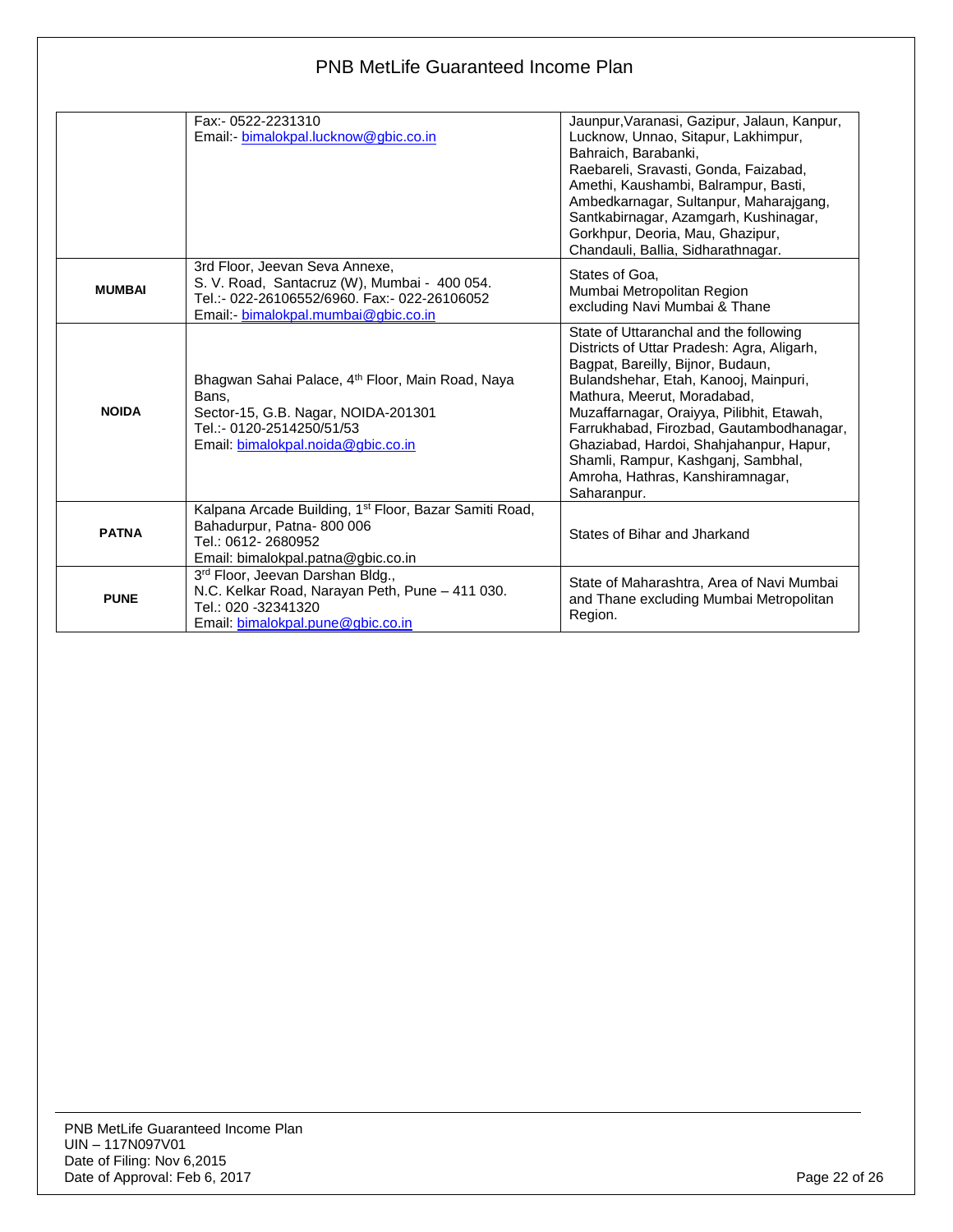|               | <b>PNB MetLife Guaranteed Income Plan</b>                                                                                                                                       |                                                                                                                                                                                                                                                                                                                                                                                                                                |  |
|---------------|---------------------------------------------------------------------------------------------------------------------------------------------------------------------------------|--------------------------------------------------------------------------------------------------------------------------------------------------------------------------------------------------------------------------------------------------------------------------------------------------------------------------------------------------------------------------------------------------------------------------------|--|
|               | Fax:- 0522-2231310<br>Email: bimalokpal.lucknow@gbic.co.in                                                                                                                      | Jaunpur, Varanasi, Gazipur, Jalaun, Kanpur,<br>Lucknow, Unnao, Sitapur, Lakhimpur,<br>Bahraich, Barabanki,<br>Raebareli, Sravasti, Gonda, Faizabad,<br>Amethi, Kaushambi, Balrampur, Basti,<br>Ambedkarnagar, Sultanpur, Maharajgang,<br>Santkabirnagar, Azamgarh, Kushinagar,<br>Gorkhpur, Deoria, Mau, Ghazipur,<br>Chandauli, Ballia, Sidharathnagar.                                                                       |  |
| <b>MUMBAI</b> | 3rd Floor, Jeevan Seva Annexe,<br>S. V. Road, Santacruz (W), Mumbai - 400 054.<br>Tel.:- 022-26106552/6960. Fax:- 022-26106052<br>Email:- bimalokpal.mumbai@gbic.co.in          | States of Goa.<br>Mumbai Metropolitan Region<br>excluding Navi Mumbai & Thane                                                                                                                                                                                                                                                                                                                                                  |  |
| <b>NOIDA</b>  | Bhagwan Sahai Palace, 4 <sup>th</sup> Floor, Main Road, Naya<br>Bans.<br>Sector-15, G.B. Nagar, NOIDA-201301<br>Tel.:- 0120-2514250/51/53<br>Email: bimalokpal.noida@gbic.co.in | State of Uttaranchal and the following<br>Districts of Uttar Pradesh: Agra, Aligarh,<br>Bagpat, Bareilly, Bijnor, Budaun,<br>Bulandshehar, Etah, Kanooj, Mainpuri,<br>Mathura, Meerut, Moradabad,<br>Muzaffarnagar, Oraiyya, Pilibhit, Etawah,<br>Farrukhabad, Firozbad, Gautambodhanagar,<br>Ghaziabad, Hardoi, Shahjahanpur, Hapur,<br>Shamli, Rampur, Kashganj, Sambhal,<br>Amroha, Hathras, Kanshiramnagar,<br>Saharanpur. |  |
| <b>PATNA</b>  | Kalpana Arcade Building, 1 <sup>st</sup> Floor, Bazar Samiti Road,<br>Bahadurpur, Patna-800 006<br>Tel.: 0612-2680952<br>Email: bimalokpal.patna@gbic.co.in                     | States of Bihar and Jharkand                                                                                                                                                                                                                                                                                                                                                                                                   |  |
| <b>PUNE</b>   | 3rd Floor, Jeevan Darshan Bldg.,<br>N.C. Kelkar Road, Narayan Peth, Pune - 411 030.<br>Tel.: 020 -32341320<br>Email: bimalokpal.pune@gbic.co.in                                 | State of Maharashtra, Area of Navi Mumbai<br>and Thane excluding Mumbai Metropolitan<br>Region.                                                                                                                                                                                                                                                                                                                                |  |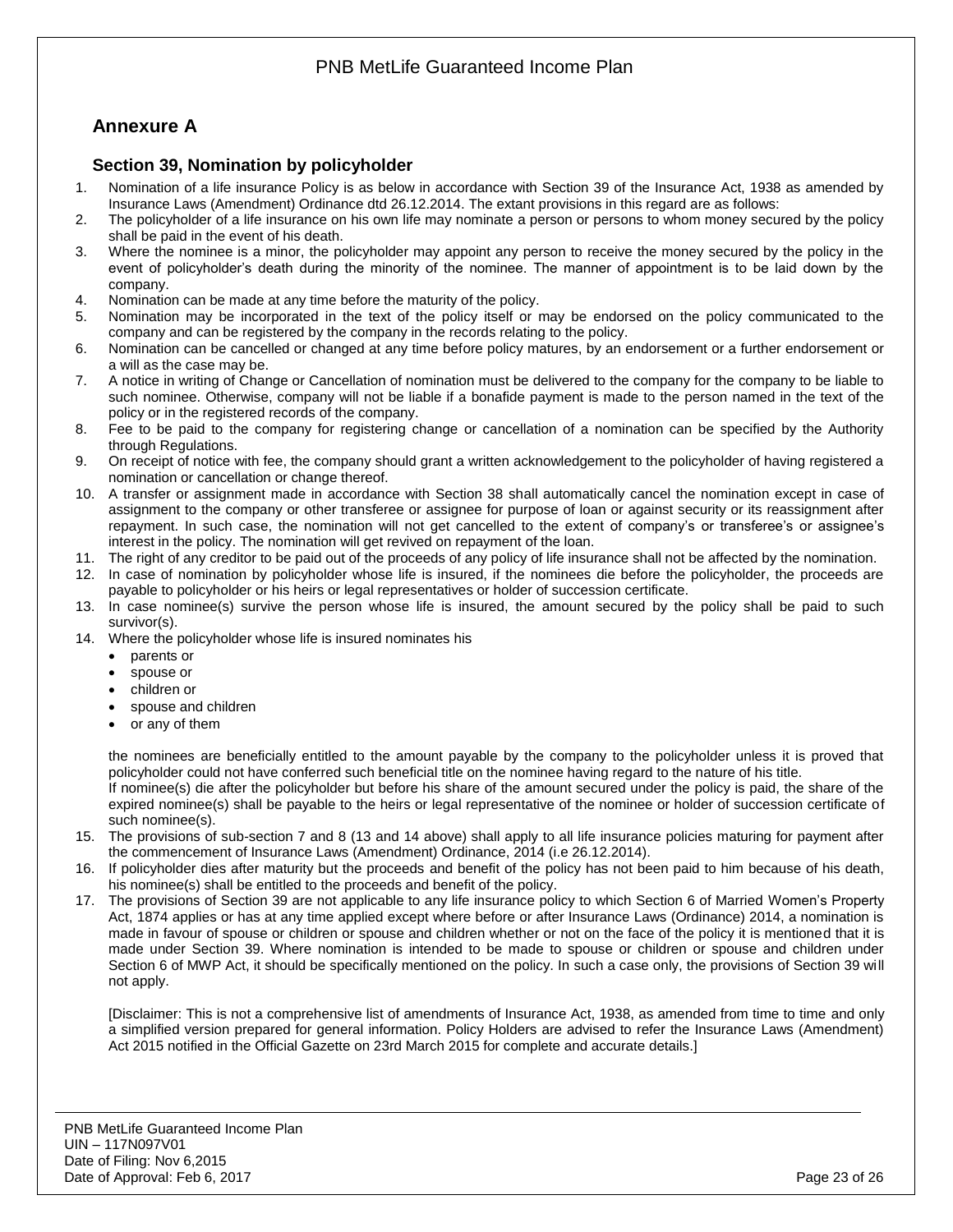# <span id="page-22-0"></span>**Annexure A**

### <span id="page-22-1"></span>**Section 39, Nomination by policyholder**

- 1. Nomination of a life insurance Policy is as below in accordance with Section 39 of the Insurance Act, 1938 as amended by Insurance Laws (Amendment) Ordinance dtd 26.12.2014. The extant provisions in this regard are as follows:
- 2. The policyholder of a life insurance on his own life may nominate a person or persons to whom money secured by the policy shall be paid in the event of his death.
- 3. Where the nominee is a minor, the policyholder may appoint any person to receive the money secured by the policy in the event of policyholder's death during the minority of the nominee. The manner of appointment is to be laid down by the company.
- 4. Nomination can be made at any time before the maturity of the policy.
- 5. Nomination may be incorporated in the text of the policy itself or may be endorsed on the policy communicated to the company and can be registered by the company in the records relating to the policy.
- 6. Nomination can be cancelled or changed at any time before policy matures, by an endorsement or a further endorsement or a will as the case may be.
- 7. A notice in writing of Change or Cancellation of nomination must be delivered to the company for the company to be liable to such nominee. Otherwise, company will not be liable if a bonafide payment is made to the person named in the text of the policy or in the registered records of the company.
- 8. Fee to be paid to the company for registering change or cancellation of a nomination can be specified by the Authority through Regulations.
- 9. On receipt of notice with fee, the company should grant a written acknowledgement to the policyholder of having registered a nomination or cancellation or change thereof.
- 10. A transfer or assignment made in accordance with Section 38 shall automatically cancel the nomination except in case of assignment to the company or other transferee or assignee for purpose of loan or against security or its reassignment after repayment. In such case, the nomination will not get cancelled to the extent of company's or transferee's or assignee's interest in the policy. The nomination will get revived on repayment of the loan.
- 11. The right of any creditor to be paid out of the proceeds of any policy of life insurance shall not be affected by the nomination.
- 12. In case of nomination by policyholder whose life is insured, if the nominees die before the policyholder, the proceeds are payable to policyholder or his heirs or legal representatives or holder of succession certificate.
- 13. In case nominee(s) survive the person whose life is insured, the amount secured by the policy shall be paid to such survivor(s).
- 14. Where the policyholder whose life is insured nominates his
	- parents or
	- spouse or
	- children or
	- spouse and children
	- or any of them

the nominees are beneficially entitled to the amount payable by the company to the policyholder unless it is proved that policyholder could not have conferred such beneficial title on the nominee having regard to the nature of his title.

If nominee(s) die after the policyholder but before his share of the amount secured under the policy is paid, the share of the expired nominee(s) shall be payable to the heirs or legal representative of the nominee or holder of succession certificate of such nominee(s).

- 15. The provisions of sub-section 7 and 8 (13 and 14 above) shall apply to all life insurance policies maturing for payment after the commencement of Insurance Laws (Amendment) Ordinance, 2014 (i.e 26.12.2014).
- 16. If policyholder dies after maturity but the proceeds and benefit of the policy has not been paid to him because of his death, his nominee(s) shall be entitled to the proceeds and benefit of the policy.
- 17. The provisions of Section 39 are not applicable to any life insurance policy to which Section 6 of Married Women's Property Act, 1874 applies or has at any time applied except where before or after Insurance Laws (Ordinance) 2014, a nomination is made in favour of spouse or children or spouse and children whether or not on the face of the policy it is mentioned that it is made under Section 39. Where nomination is intended to be made to spouse or children or spouse and children under Section 6 of MWP Act, it should be specifically mentioned on the policy. In such a case only, the provisions of Section 39 will not apply.

[Disclaimer: This is not a comprehensive list of amendments of Insurance Act, 1938, as amended from time to time and only a simplified version prepared for general information. Policy Holders are advised to refer the Insurance Laws (Amendment) Act 2015 notified in the Official Gazette on 23rd March 2015 for complete and accurate details.]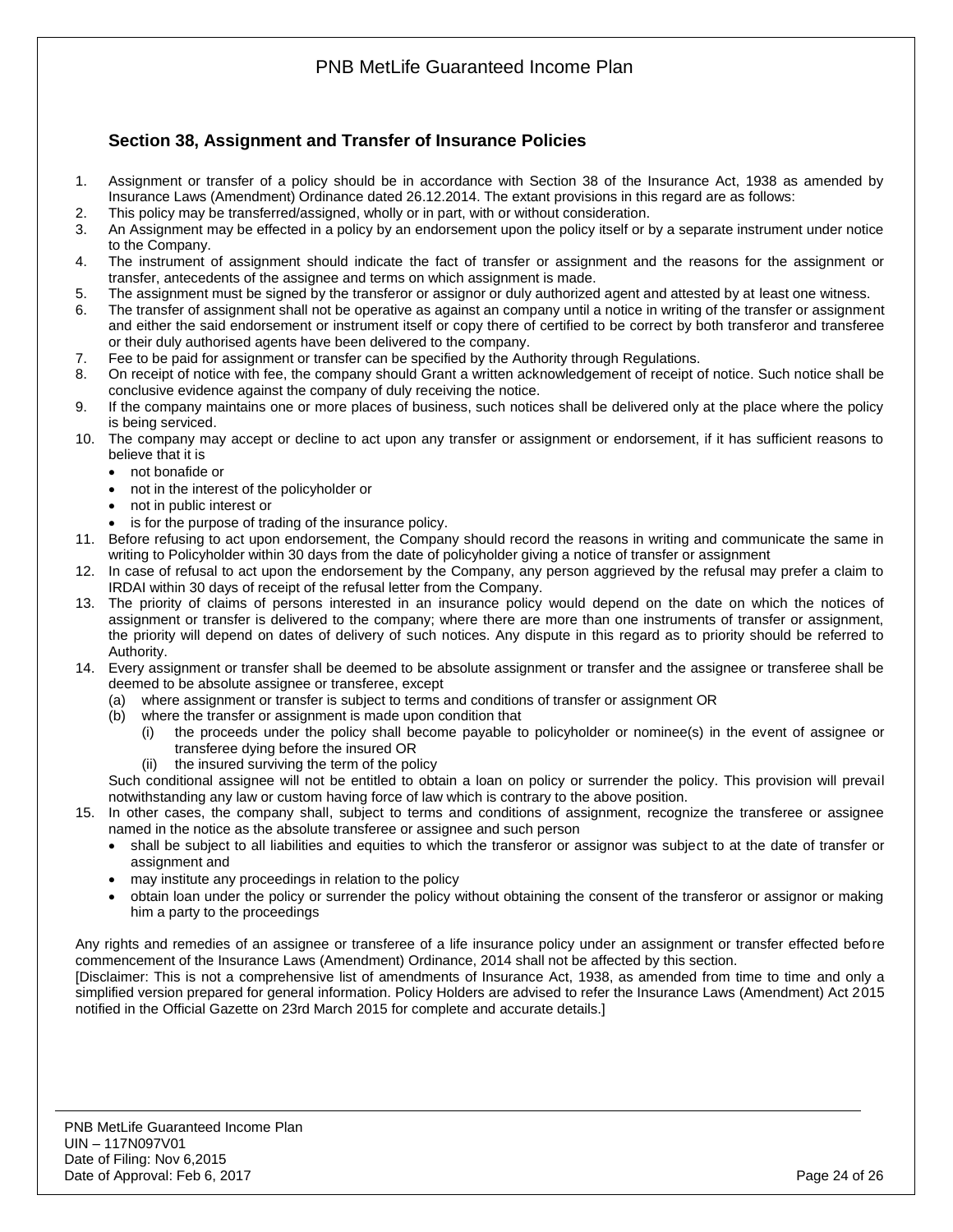

## <span id="page-23-0"></span>**Section 38, Assignment and Transfer of Insurance Policies**

- 1. Assignment or transfer of a policy should be in accordance with Section 38 of the Insurance Act, 1938 as amended by Insurance Laws (Amendment) Ordinance dated 26.12.2014. The extant provisions in this regard are as follows:
- 2. This policy may be transferred/assigned, wholly or in part, with or without consideration.
- 3. An Assignment may be effected in a policy by an endorsement upon the policy itself or by a separate instrument under notice to the Company.
- 4. The instrument of assignment should indicate the fact of transfer or assignment and the reasons for the assignment or transfer, antecedents of the assignee and terms on which assignment is made.
- 5. The assignment must be signed by the transferor or assignor or duly authorized agent and attested by at least one witness.
- 6. The transfer of assignment shall not be operative as against an company until a notice in writing of the transfer or assignment and either the said endorsement or instrument itself or copy there of certified to be correct by both transferor and transferee or their duly authorised agents have been delivered to the company.
- 7. Fee to be paid for assignment or transfer can be specified by the Authority through Regulations.
- 8. On receipt of notice with fee, the company should Grant a written acknowledgement of receipt of notice. Such notice shall be conclusive evidence against the company of duly receiving the notice.
- 9. If the company maintains one or more places of business, such notices shall be delivered only at the place where the policy is being serviced.
- 10. The company may accept or decline to act upon any transfer or assignment or endorsement, if it has sufficient reasons to believe that it is
	- not bonafide or
	- not in the interest of the policyholder or
	- not in public interest or
	- is for the purpose of trading of the insurance policy.
- 11. Before refusing to act upon endorsement, the Company should record the reasons in writing and communicate the same in writing to Policyholder within 30 days from the date of policyholder giving a notice of transfer or assignment
- 12. In case of refusal to act upon the endorsement by the Company, any person aggrieved by the refusal may prefer a claim to IRDAI within 30 days of receipt of the refusal letter from the Company.
- 13. The priority of claims of persons interested in an insurance policy would depend on the date on which the notices of assignment or transfer is delivered to the company; where there are more than one instruments of transfer or assignment, the priority will depend on dates of delivery of such notices. Any dispute in this regard as to priority should be referred to Authority.
- 14. Every assignment or transfer shall be deemed to be absolute assignment or transfer and the assignee or transferee shall be deemed to be absolute assignee or transferee, except
	- (a) where assignment or transfer is subject to terms and conditions of transfer or assignment OR
	- (b) where the transfer or assignment is made upon condition that
		- (i) the proceeds under the policy shall become payable to policyholder or nominee(s) in the event of assignee or transferee dying before the insured OR
		- (ii) the insured surviving the term of the policy

Such conditional assignee will not be entitled to obtain a loan on policy or surrender the policy. This provision will prevail notwithstanding any law or custom having force of law which is contrary to the above position.

- 15. In other cases, the company shall, subject to terms and conditions of assignment, recognize the transferee or assignee named in the notice as the absolute transferee or assignee and such person
	- shall be subject to all liabilities and equities to which the transferor or assignor was subject to at the date of transfer or assignment and
	- may institute any proceedings in relation to the policy
	- obtain loan under the policy or surrender the policy without obtaining the consent of the transferor or assignor or making him a party to the proceedings

Any rights and remedies of an assignee or transferee of a life insurance policy under an assignment or transfer effected before commencement of the Insurance Laws (Amendment) Ordinance, 2014 shall not be affected by this section.

[Disclaimer: This is not a comprehensive list of amendments of Insurance Act, 1938, as amended from time to time and only a simplified version prepared for general information. Policy Holders are advised to refer the Insurance Laws (Amendment) Act 2015 notified in the Official Gazette on 23rd March 2015 for complete and accurate details.]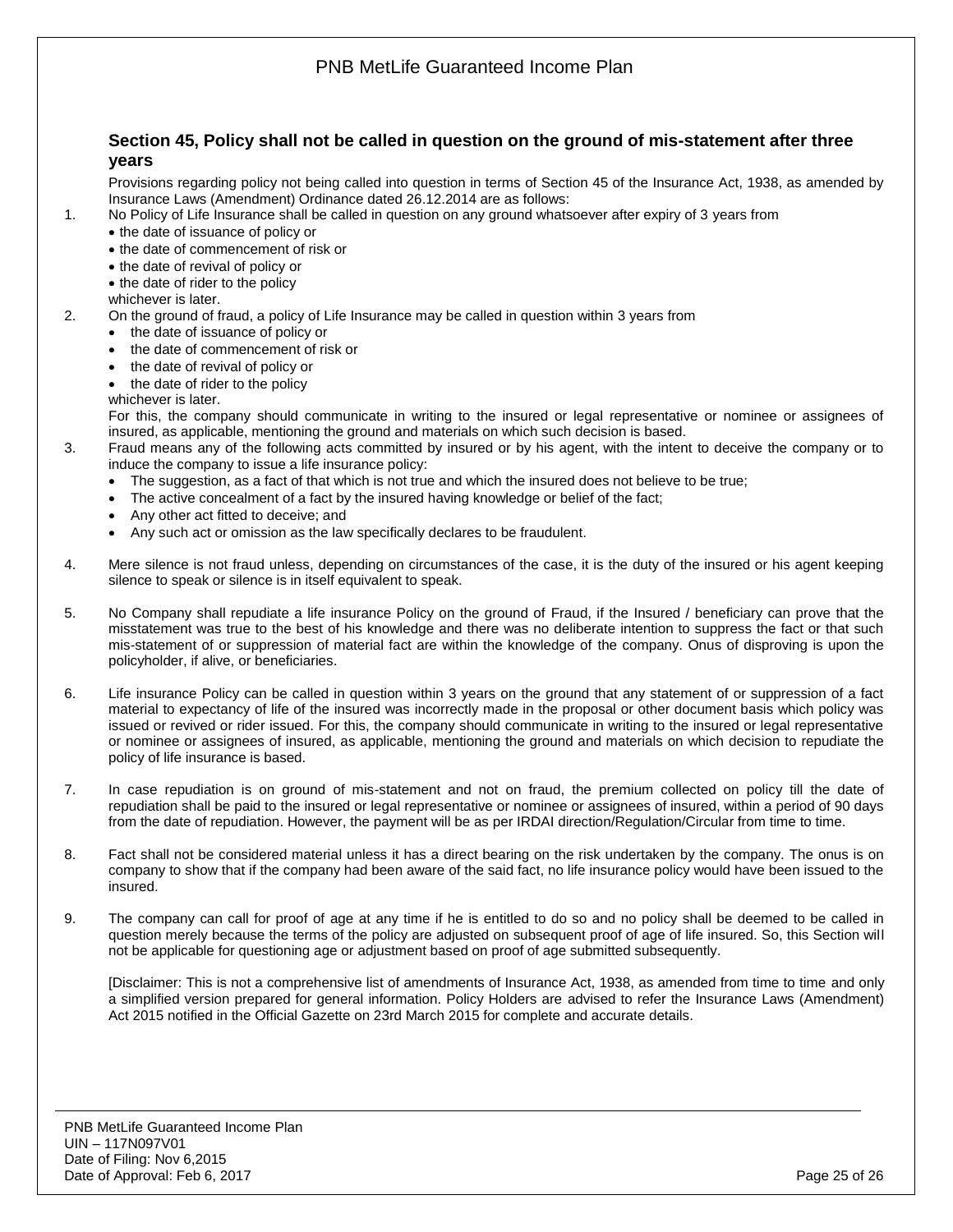<span id="page-24-0"></span>

9. The company can call for proof of age at any time if he is entitled to do so and no policy shall be deemed to be called in question merely because the terms of the policy are adjusted on subsequent proof of age of life insured. So, this Section will not be applicable for questioning age or adjustment based on proof of age submitted subsequently.

[Disclaimer: This is not a comprehensive list of amendments of Insurance Act, 1938, as amended from time to time and only a simplified version prepared for general information. Policy Holders are advised to refer the Insurance Laws (Amendment) Act 2015 notified in the Official Gazette on 23rd March 2015 for complete and accurate details.